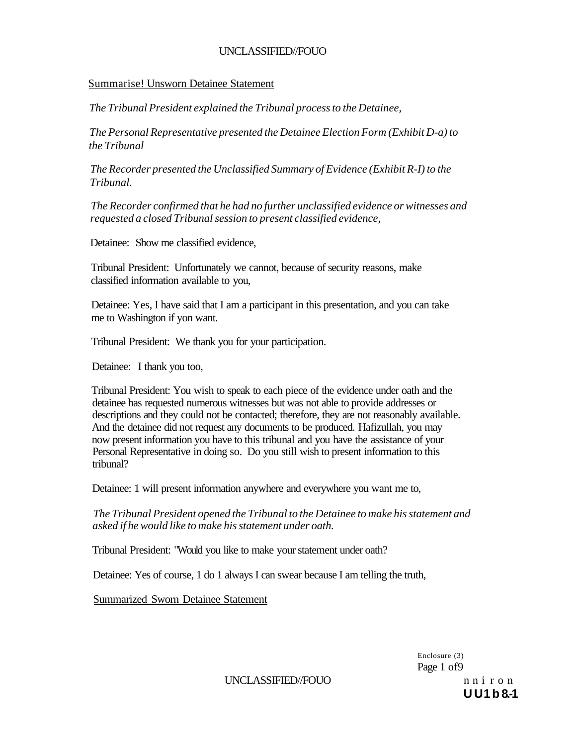### Summarise! Unsworn Detainee Statement

*The Tribunal President explained the Tribunal process to the Detainee,* 

*The Personal Representative presented the Detainee Election Form (Exhibit D-a) to the Tribunal* 

*The Recorder presented the Unclassified Summary of Evidence (Exhibit R-I) to the Tribunal.* 

*The Recorder confirmed that he had no further unclassified evidence or witnesses and requested a closed Tribunal session to present classified evidence,* 

Detainee: Show me classified evidence,

Tribunal President: Unfortunately we cannot, because of security reasons, make classified information available to you,

Detainee: Yes, I have said that I am a participant in this presentation, and you can take me to Washington if yon want.

Tribunal President: We thank you for your participation.

Detainee: I thank you too,

Tribunal President: You wish to speak to each piece of the evidence under oath and the detainee has requested numerous witnesses but was not able to provide addresses or descriptions and they could not be contacted; therefore, they are not reasonably available. And the detainee did not request any documents to be produced. Hafizullah, you may now present information you have to this tribunal and you have the assistance of your Personal Representative in doing so. Do you still wish to present information to this tribunal?

Detainee: 1 will present information anywhere and everywhere you want me to,

*The Tribunal President opened the Tribunal to the Detainee to make his statement and asked if he would like to make his statement under oath.* 

Tribunal President: "Would you like to make your statement under oath?

Detainee: Yes of course, 1 do 1 always I can swear because I am telling the truth,

Summarized Sworn Detainee Statement

Enclosure (3) Page 1 of9

UNCLASSIFIED//FOUO n n i r o n

**U U1 b 8.-1**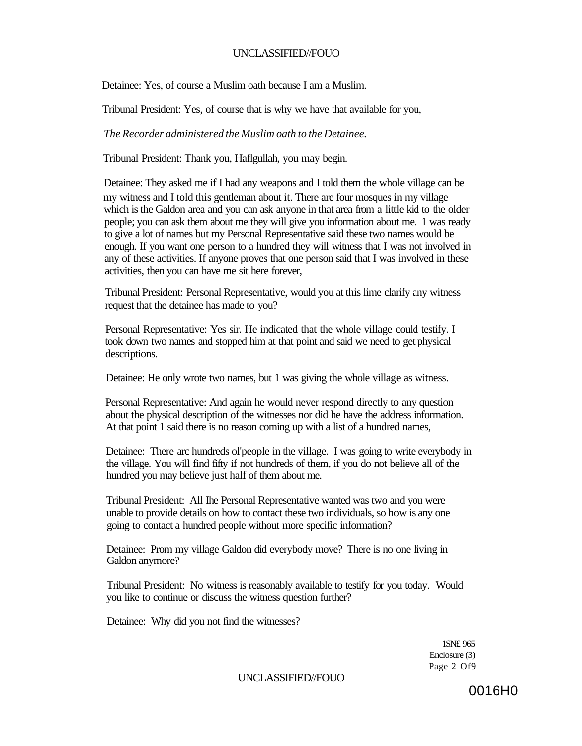Detainee: Yes, of course a Muslim oath because I am a Muslim.

Tribunal President: Yes, of course that is why we have that available for you,

*The Recorder administered the Muslim oath to the Detainee.* 

Tribunal President: Thank you, Haflgullah, you may begin.

Detainee: They asked me if I had any weapons and I told them the whole village can be my witness and I told this gentleman about it. There are four mosques in my village which is the Galdon area and you can ask anyone in that area from a little kid to the older people; you can ask them about me they will give you information about me. 1 was ready to give a lot of names but my Personal Representative said these two names would be enough. If you want one person to a hundred they will witness that I was not involved in any of these activities. If anyone proves that one person said that I was involved in these activities, then you can have me sit here forever,

Tribunal President: Personal Representative, would you at this lime clarify any witness request that the detainee has made to you?

Personal Representative: Yes sir. He indicated that the whole village could testify. I took down two names and stopped him at that point and said we need to get physical descriptions.

Detainee: He only wrote two names, but 1 was giving the whole village as witness.

Personal Representative: And again he would never respond directly to any question about the physical description of the witnesses nor did he have the address information. At that point 1 said there is no reason coming up with a list of a hundred names,

Detainee: There arc hundreds ol'people in the village. I was going to write everybody in the village. You will find fifty if not hundreds of them, if you do not believe all of the hundred you may believe just half of them about me.

Tribunal President: All Ihe Personal Representative wanted was two and you were unable to provide details on how to contact these two individuals, so how is any one going to contact a hundred people without more specific information?

Detainee: Prom my village Galdon did everybody move? There is no one living in Galdon anymore?

Tribunal President: No witness is reasonably available to testify for you today. Would you like to continue or discuss the witness question further?

Detainee: Why did you not find the witnesses?

1SN£ 965 Enclosure (3) Page 2 Of9

UNCLASSIFIED//FOUO

0016H0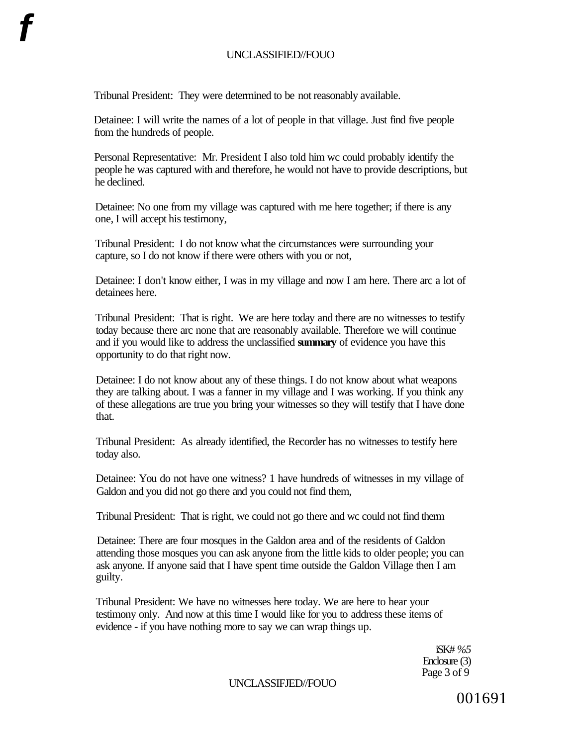Tribunal President: They were determined to be not reasonably available.

Detainee: I will write the names of a lot of people in that village. Just find five people from the hundreds of people.

Personal Representative: Mr. President I also told him wc could probably identify the people he was captured with and therefore, he would not have to provide descriptions, but he declined.

Detainee: No one from my village was captured with me here together; if there is any one, I will accept his testimony,

Tribunal President: I do not know what the circumstances were surrounding your capture, so I do not know if there were others with you or not,

Detainee: I don't know either, I was in my village and now I am here. There arc a lot of detainees here.

Tribunal President: That is right. We are here today and there are no witnesses to testify today because there arc none that are reasonably available. Therefore we will continue and if you would like to address the unclassified **summary** of evidence you have this opportunity to do that right now.

Detainee: I do not know about any of these things. I do not know about what weapons they are talking about. I was a fanner in my village and I was working. If you think any of these allegations are true you bring your witnesses so they will testify that I have done that.

Tribunal President: As already identified, the Recorder has no witnesses to testify here today also.

Detainee: You do not have one witness? 1 have hundreds of witnesses in my village of Galdon and you did not go there and you could not find them,

Tribunal President: That is right, we could not go there and wc could not find therm

Detainee: There are four mosques in the Galdon area and of the residents of Galdon attending those mosques you can ask anyone from the little kids to older people; you can ask anyone. If anyone said that I have spent time outside the Galdon Village then I am guilty.

Tribunal President: We have no witnesses here today. We are here to hear your testimony only. And now at this time I would like for you to address these items of evidence - if you have nothing more to say we can wrap things up.

> iSK# *%5*  Enclosure (3) Page 3 of 9

UNCLASSIFJED//FOUO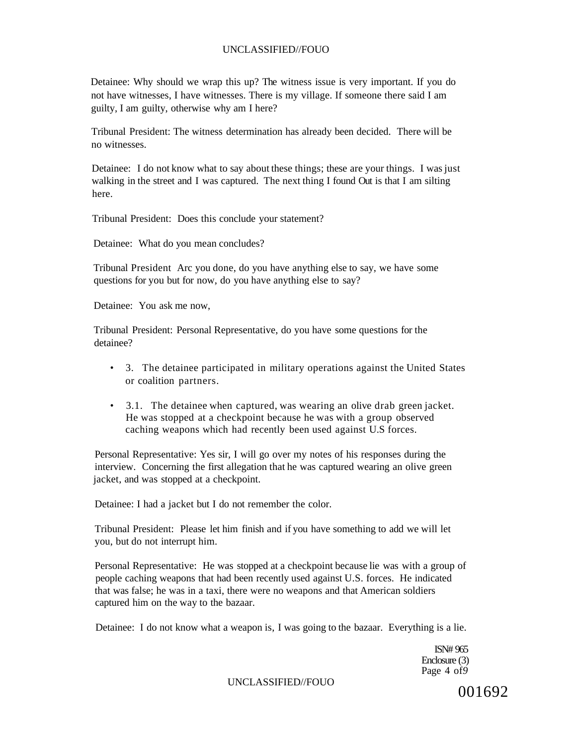Detainee: Why should we wrap this up? The witness issue is very important. If you do not have witnesses, I have witnesses. There is my village. If someone there said I am guilty, I am guilty, otherwise why am I here?

Tribunal President: The witness determination has already been decided. There will be no witnesses.

Detainee: I do not know what to say about these things; these are your things. I was just walking in the street and I was captured. The next thing I found Out is that I am silting here.

Tribunal President: Does this conclude your statement?

Detainee: What do you mean concludes?

Tribunal President Arc you done, do you have anything else to say, we have some questions for you but for now, do you have anything else to say?

Detainee: You ask me now,

Tribunal President: Personal Representative, do you have some questions for the detainee?

- 3. The detainee participated in military operations against the United States or coalition partners.
- 3.1. The detainee when captured, was wearing an olive drab green jacket. He was stopped at a checkpoint because he was with a group observed caching weapons which had recently been used against U.S forces.

Personal Representative: Yes sir, I will go over my notes of his responses during the interview. Concerning the first allegation that he was captured wearing an olive green jacket, and was stopped at a checkpoint.

Detainee: I had a jacket but I do not remember the color.

Tribunal President: Please let him finish and if you have something to add we will let you, but do not interrupt him.

Personal Representative: He was stopped at a checkpoint because lie was with a group of people caching weapons that had been recently used against U.S. forces. He indicated that was false; he was in a taxi, there were no weapons and that American soldiers captured him on the way to the bazaar.

Detainee: I do not know what a weapon is, I was going to the bazaar. Everything is a lie.

ISN# 965 Enclosure (3) Page 4 of*9* 

UNCLASSIFIED//FOUO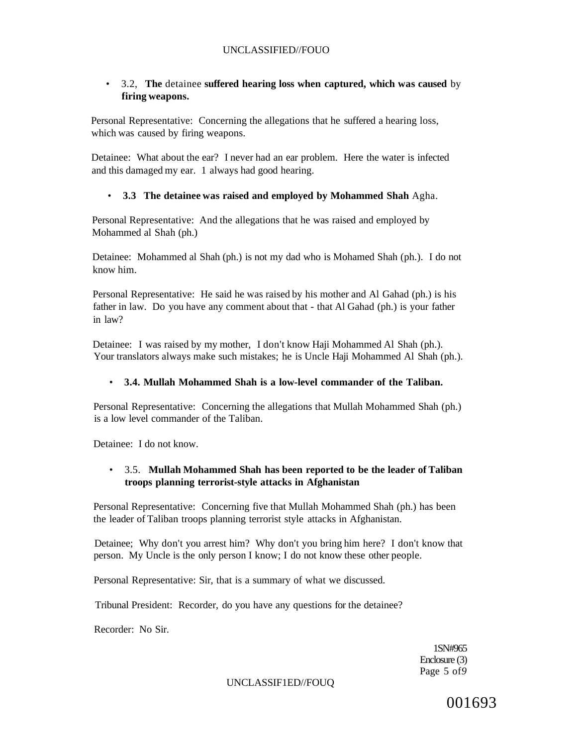### • 3.2, **The** detainee **suffered hearing loss when captured, which was caused** by **firing weapons.**

Personal Representative: Concerning the allegations that he suffered a hearing loss, which was caused by firing weapons.

Detainee: What about the ear? I never had an ear problem. Here the water is infected and this damaged my ear. 1 always had good hearing.

### • **3.3 The detainee was raised and employed by Mohammed Shah** Agha.

Personal Representative: And the allegations that he was raised and employed by Mohammed al Shah (ph.)

Detainee: Mohammed al Shah (ph.) is not my dad who is Mohamed Shah (ph.). I do not know him.

Personal Representative: He said he was raised by his mother and Al Gahad (ph.) is his father in law. Do you have any comment about that - that Al Gahad (ph.) is your father in law?

Detainee: I was raised by my mother, I don't know Haji Mohammed Al Shah (ph.). Your translators always make such mistakes; he is Uncle Haji Mohammed Al Shah (ph.).

#### • **3.4. Mullah Mohammed Shah is a low-level commander of the Taliban.**

Personal Representative: Concerning the allegations that Mullah Mohammed Shah (ph.) is a low level commander of the Taliban.

Detainee: I do not know.

# • 3.5. **Mullah Mohammed Shah has been reported to be the leader of Taliban troops planning terrorist-style attacks in Afghanistan**

Personal Representative: Concerning five that Mullah Mohammed Shah (ph.) has been the leader of Taliban troops planning terrorist style attacks in Afghanistan.

Detainee; Why don't you arrest him? Why don't you bring him here? I don't know that person. My Uncle is the only person I know; I do not know these other people.

Personal Representative: Sir, that is a summary of what we discussed.

Tribunal President: Recorder, do you have any questions for the detainee?

Recorder: No Sir.

1SN#965 Enclosure (3) Page 5 of*9* 

UNCLASSIF1ED//FOUQ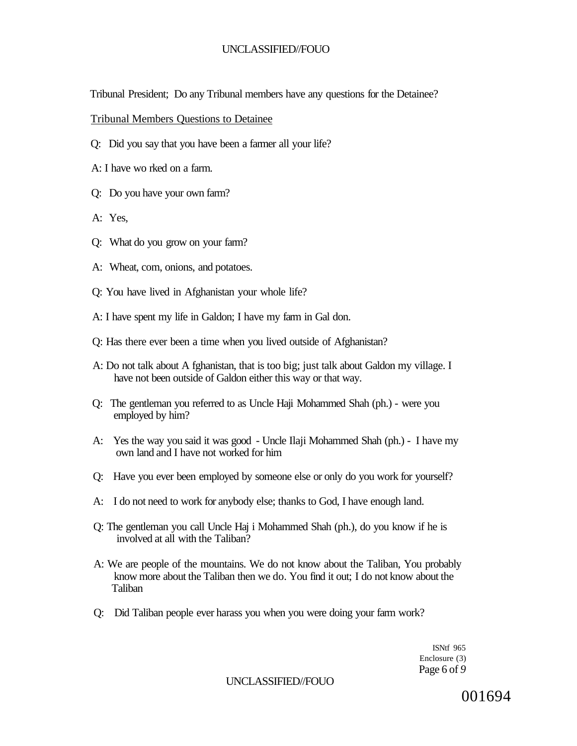Tribunal President; Do any Tribunal members have any questions for the Detainee?

Tribunal Members Questions to Detainee

- Q: Did you say that you have been a farmer all your life?
- A: I have wo rked on a farm.
- Q: Do you have your own farm?
- A: Yes,
- Q: What do you grow on your farm?
- A: Wheat, com, onions, and potatoes.
- Q: You have lived in Afghanistan your whole life?
- A: I have spent my life in Galdon; I have my farm in Gal don.
- Q: Has there ever been a time when you lived outside of Afghanistan?
- A: Do not talk about A fghanistan, that is too big; just talk about Galdon my village. I have not been outside of Galdon either this way or that way.
- Q: The gentleman you referred to as Uncle Haji Mohammed Shah (ph.) were you employed by him?
- A: Yes the way you said it was good Uncle Ilaji Mohammed Shah (ph.) I have my own land and I have not worked for him
- Q: Have you ever been employed by someone else or only do you work for yourself?
- A: I do not need to work for anybody else; thanks to God, I have enough land.
- Q: The gentleman you call Uncle Haj i Mohammed Shah (ph.), do you know if he is involved at all with the Taliban?
- A: We are people of the mountains. We do not know about the Taliban, You probably know more about the Taliban then we do. You find it out; I do not know about the Taliban
- Q: Did Taliban people ever harass you when you were doing your farm work?

ISNtf 965 Enclosure (3) Page 6 of *9* 

UNCLASSIFIED//FOUO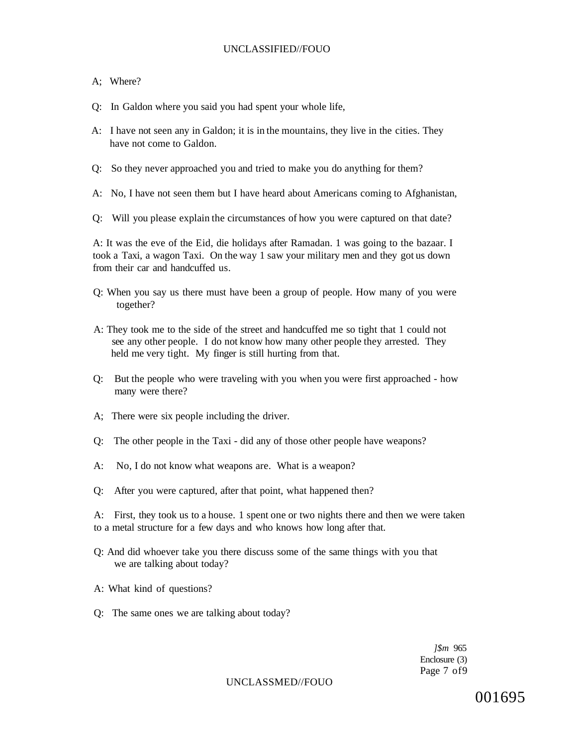#### A; Where?

- Q: In Galdon where you said you had spent your whole life,
- A: I have not seen any in Galdon; it is in the mountains, they live in the cities. They have not come to Galdon.
- Q: So they never approached you and tried to make you do anything for them?
- A: No, I have not seen them but I have heard about Americans coming to Afghanistan,
- Q: Will you please explain the circumstances of how you were captured on that date?

A: It was the eve of the Eid, die holidays after Ramadan. 1 was going to the bazaar. I took a Taxi, a wagon Taxi. On the way 1 saw your military men and they got us down from their car and handcuffed us.

- Q: When you say us there must have been a group of people. How many of you were together?
- A: They took me to the side of the street and handcuffed me so tight that 1 could not see any other people. I do not know how many other people they arrested. They held me very tight. My finger is still hurting from that.
- Q: But the people who were traveling with you when you were first approached how many were there?
- A; There were six people including the driver.
- Q: The other people in the Taxi did any of those other people have weapons?
- A: No, I do not know what weapons are. What is a weapon?
- Q: After you were captured, after that point, what happened then?

A: First, they took us to a house. 1 spent one or two nights there and then we were taken to a metal structure for a few days and who knows how long after that.

- Q: And did whoever take you there discuss some of the same things with you that we are talking about today?
- A: What kind of questions?
- Q: The same ones we are talking about today?

*]\$m* 965 Enclosure (3) Page 7 of9

UNCLASSMED//FOUO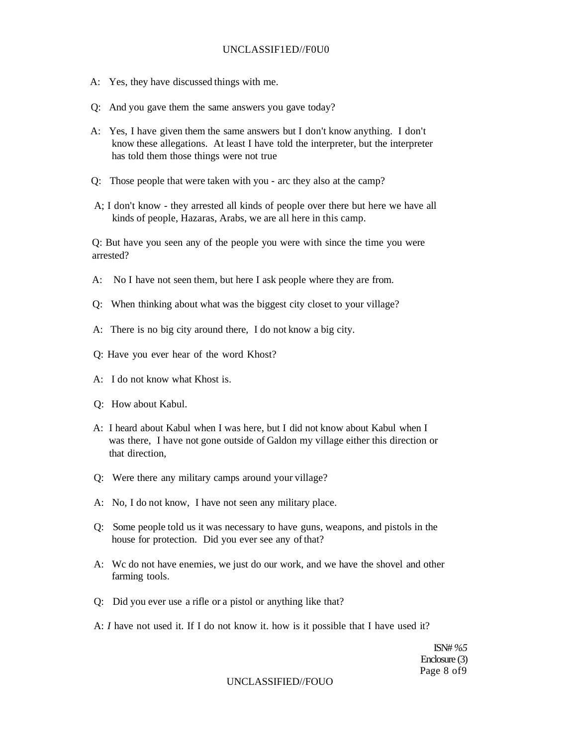#### UNCLASSIF1ED//F0U0

- A: Yes, they have discussed things with me.
- Q: And you gave them the same answers you gave today?
- A: Yes, I have given them the same answers but I don't know anything. I don't know these allegations. At least I have told the interpreter, but the interpreter has told them those things were not true
- Q: Those people that were taken with you arc they also at the camp?
- A; I don't know they arrested all kinds of people over there but here we have all kinds of people, Hazaras, Arabs, we are all here in this camp.

Q: But have you seen any of the people you were with since the time you were arrested?

- A: No I have not seen them, but here I ask people where they are from.
- Q: When thinking about what was the biggest city closet to your village?
- A: There is no big city around there, I do not know a big city.
- Q: Have you ever hear of the word Khost?
- A: I do not know what Khost is.
- Q: How about Kabul.
- A: I heard about Kabul when I was here, but I did not know about Kabul when I was there, I have not gone outside of Galdon my village either this direction or that direction,
- Q: Were there any military camps around your village?
- A: No, I do not know, I have not seen any military place.
- Q: Some people told us it was necessary to have guns, weapons, and pistols in the house for protection. Did you ever see any of that?
- A: Wc do not have enemies, we just do our work, and we have the shovel and other farming tools.
- Q: Did you ever use a rifle or a pistol or anything like that?
- A: *I* have not used it. If I do not know it. how is it possible that I have used it?

ISN# *%5*  Enclosure (3) Page 8 of9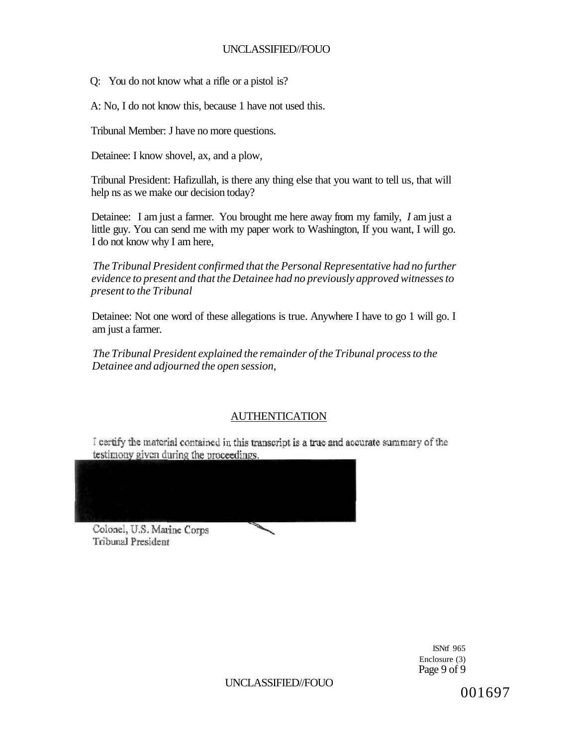Q: You do not know what a rifle or a pistol is?

A: No, I do not know this, because 1 have not used this.

Tribunal Member: J have no more questions.

Detainee: I know shovel, ax, and a plow,

Tribunal President: Hafizullah, is there any thing else that you want to tell us, that will help ns as we make our decision today?

Detainee: I am just a farmer. You brought me here away from my family, *I* am just a little guy. You can send me with my paper work to Washington, If you want, I will go. I do not know why I am here,

*The Tribunal President confirmed that the Personal Representative had no further evidence to present and that the Detainee had no previously approved witnesses to present to the Tribunal* 

Detainee: Not one word of these allegations is true. Anywhere I have to go 1 will go. I am just a farmer.

*The Tribunal President explained the remainder of the Tribunal process to the Detainee and adjourned the open session,* 

# AUTHENTICATION

I certify the material contained in this transcript is a true and accurate summary of the testimony given during the proceedings.



Colonel, U.S. Marine Corps **Tribunal President** 

> ISNtf 965 Enclosure (3) Page 9 of 9

UNCLASSIFIED//FOUO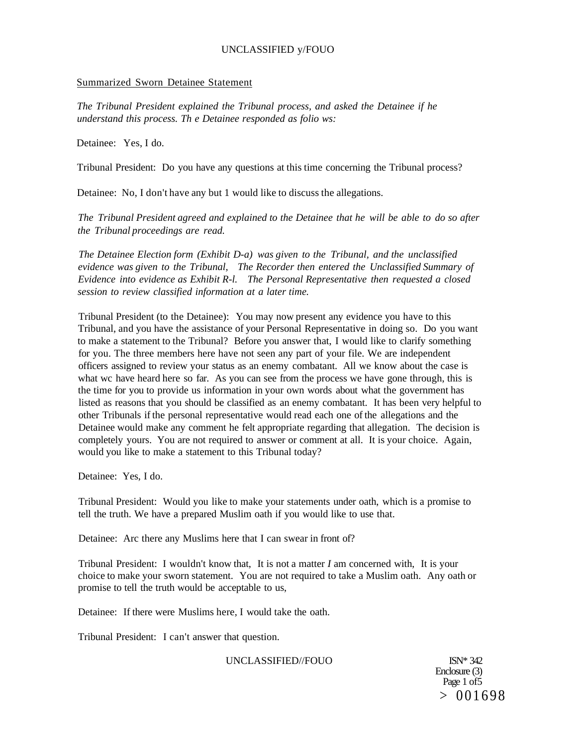#### Summarized Sworn Detainee Statement

*The Tribunal President explained the Tribunal process, and asked the Detainee if he understand this process. Th e Detainee responded as folio ws:* 

Detainee: Yes, I do.

Tribunal President: Do you have any questions at this time concerning the Tribunal process?

Detainee: No, I don't have any but 1 would like to discuss the allegations.

*The Tribunal President agreed and explained to the Detainee that he will be able to do so after the Tribunal proceedings are read.* 

*The Detainee Election form (Exhibit D-a) was given to the Tribunal, and the unclassified evidence was given to the Tribunal, The Recorder then entered the Unclassified Summary of Evidence into evidence as Exhibit R-l. The Personal Representative then requested a closed session to review classified information at a later time.* 

Tribunal President (to the Detainee): You may now present any evidence you have to this Tribunal, and you have the assistance of your Personal Representative in doing so. Do you want to make a statement to the Tribunal? Before you answer that, I would like to clarify something for you. The three members here have not seen any part of your file. We are independent officers assigned to review your status as an enemy combatant. All we know about the case is what wc have heard here so far. As you can see from the process we have gone through, this is the time for you to provide us information in your own words about what the government has listed as reasons that you should be classified as an enemy combatant. It has been very helpful to other Tribunals if the personal representative would read each one of the allegations and the Detainee would make any comment he felt appropriate regarding that allegation. The decision is completely yours. You are not required to answer or comment at all. It is your choice. Again, would you like to make a statement to this Tribunal today?

Detainee: Yes, I do.

Tribunal President: Would you like to make your statements under oath, which is a promise to tell the truth. We have a prepared Muslim oath if you would like to use that.

Detainee: Arc there any Muslims here that I can swear in front of?

Tribunal President: I wouldn't know that, It is not a matter *I* am concerned with, It is your choice to make your sworn statement. You are not required to take a Muslim oath. Any oath or promise to tell the truth would be acceptable to us,

Detainee: If there were Muslims here, I would take the oath.

Tribunal President: I can't answer that question.

UNCLASSIFIED//FOUO ISN\* 342

Enclosure (3) Page 1 of 5  $> 001698$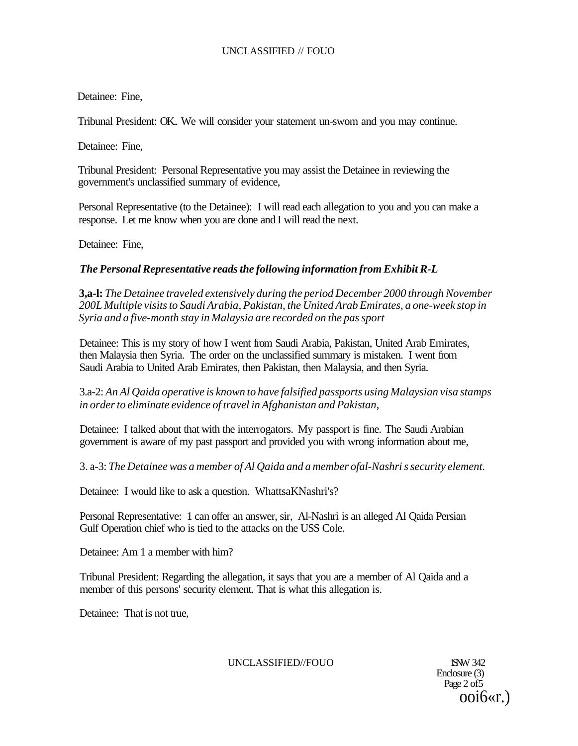Detainee: Fine,

Tribunal President: OK.. We will consider your statement un-swom and you may continue.

Detainee: Fine,

Tribunal President: Personal Representative you may assist the Detainee in reviewing the government's unclassified summary of evidence,

Personal Representative (to the Detainee): I will read each allegation to you and you can make a response. Let me know when you are done and I will read the next.

Detainee: Fine,

# *The Personal Representative reads the following information from Exhibit R-L*

**3,a-l:** *The Detainee traveled extensively during the period December 2000 through November 200L Multiple visits to Saudi Arabia, Pakistan, the United Arab Emirates, a one-week stop in Syria and a five-month stay in Malaysia are recorded on the pas sport* 

Detainee: This is my story of how I went from Saudi Arabia, Pakistan, United Arab Emirates, then Malaysia then Syria. The order on the unclassified summary is mistaken. I went from Saudi Arabia to United Arab Emirates, then Pakistan, then Malaysia, and then Syria.

3.a-2: *An Al Qaida operative is known to have falsified passports using Malaysian visa stamps in order to eliminate evidence of travel in Afghanistan and Pakistan,* 

Detainee: I talked about that with the interrogators. My passport is fine. The Saudi Arabian government is aware of my past passport and provided you with wrong information about me,

3. a-3: *The Detainee was a member of Al Qaida and a member ofal-Nashri s security element.* 

Detainee: I would like to ask a question. WhattsaKNashri's?

Personal Representative: 1 can offer an answer, sir, Al-Nashri is an alleged Al Qaida Persian Gulf Operation chief who is tied to the attacks on the USS Cole.

Detainee: Am 1 a member with him?

Tribunal President: Regarding the allegation, it says that you are a member of Al Qaida and a member of this persons' security element. That is what this allegation is.

Detainee: That is not true,

UNCLASSIFIED//FOUO 1SNW 342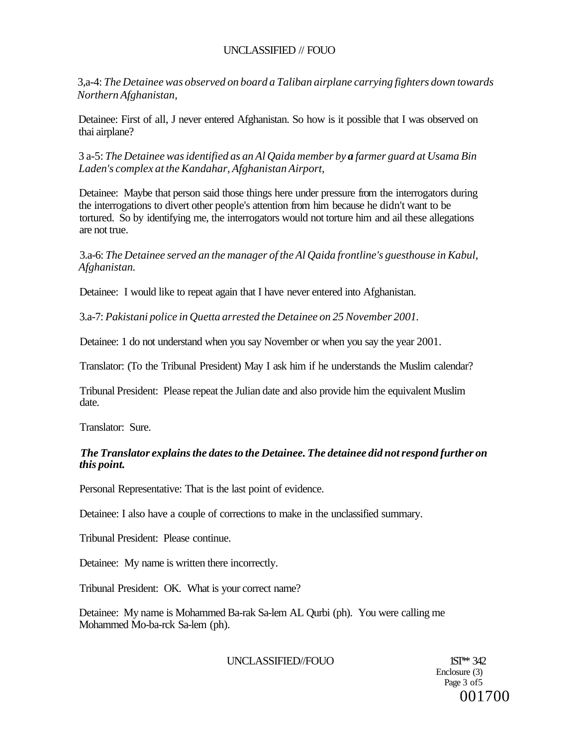3,a-4: *The Detainee was observed on board a Taliban airplane carrying fighters down towards Northern Afghanistan,* 

Detainee: First of all, J never entered Afghanistan. So how is it possible that I was observed on thai airplane?

3 a-5: *The Detainee was identified as an Al Qaida member by a farmer guard at Usama Bin Laden's complex at the Kandahar, Afghanistan Airport,* 

Detainee: Maybe that person said those things here under pressure from the interrogators during the interrogations to divert other people's attention from him because he didn't want to be tortured. So by identifying me, the interrogators would not torture him and ail these allegations are not true.

3.a-6: *The Detainee served an the manager of the Al Qaida frontline's guesthouse in Kabul, Afghanistan.* 

Detainee: I would like to repeat again that I have never entered into Afghanistan.

3.a-7: *Pakistani police in Quetta arrested the Detainee on 25 November 2001.* 

Detainee: 1 do not understand when you say November or when you say the year 2001.

Translator: (To the Tribunal President) May I ask him if he understands the Muslim calendar?

Tribunal President: Please repeat the Julian date and also provide him the equivalent Muslim date.

Translator: Sure.

# *The Translator explains the dates to the Detainee. The detainee did not respond further on this point.*

Personal Representative: That is the last point of evidence.

Detainee: I also have a couple of corrections to make in the unclassified summary.

Tribunal President: Please continue.

Detainee: My name is written there incorrectly.

Tribunal President: OK. What is your correct name?

Detainee: My name is Mohammed Ba-rak Sa-lem AL Qurbi (ph). You were calling me Mohammed Mo-ba-rck Sa-lem (ph).

UNCLASSIFIED//FOUO 1ST<sup>\*\*</sup> 342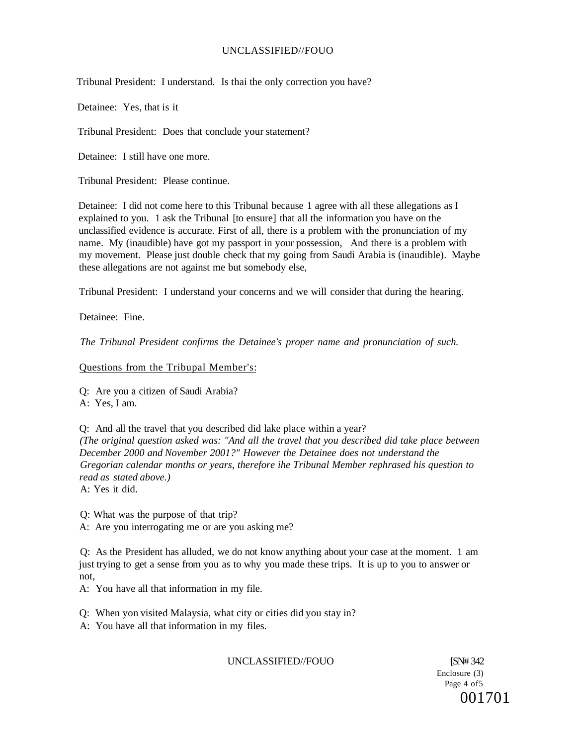Tribunal President: I understand. Is thai the only correction you have?

Detainee: Yes, that is it

Tribunal President: Does that conclude your statement?

Detainee: I still have one more.

Tribunal President: Please continue.

Detainee: I did not come here to this Tribunal because 1 agree with all these allegations as I explained to you. 1 ask the Tribunal [to ensure] that all the information you have on the unclassified evidence is accurate. First of all, there is a problem with the pronunciation of my name. My (inaudible) have got my passport in your possession, And there is a problem with my movement. Please just double check that my going from Saudi Arabia is (inaudible). Maybe these allegations are not against me but somebody else,

Tribunal President: I understand your concerns and we will consider that during the hearing.

Detainee: Fine.

*The Tribunal President confirms the Detainee's proper name and pronunciation of such.* 

### Questions from the Tribupal Member's:

Q: Are you a citizen of Saudi Arabia? A: Yes, I am.

Q: And all the travel that you described did lake place within a year? *(The original question asked was: "And all the travel that you described did take place between December 2000 and November 2001?" However the Detainee does not understand the Gregorian calendar months or years, therefore ihe Tribunal Member rephrased his question to read as stated above.)* 

A: Yes it did.

Q: What was the purpose of that trip?

A: Are you interrogating me or are you asking me?

Q: As the President has alluded, we do not know anything about your case at the moment. 1 am just trying to get a sense from you as to why you made these trips. It is up to you to answer or not,

A: You have all that information in my file.

Q: When yon visited Malaysia, what city or cities did you stay in?

A: You have all that information in my files.

UNCLASSIFIED//FOUO [SN# 342]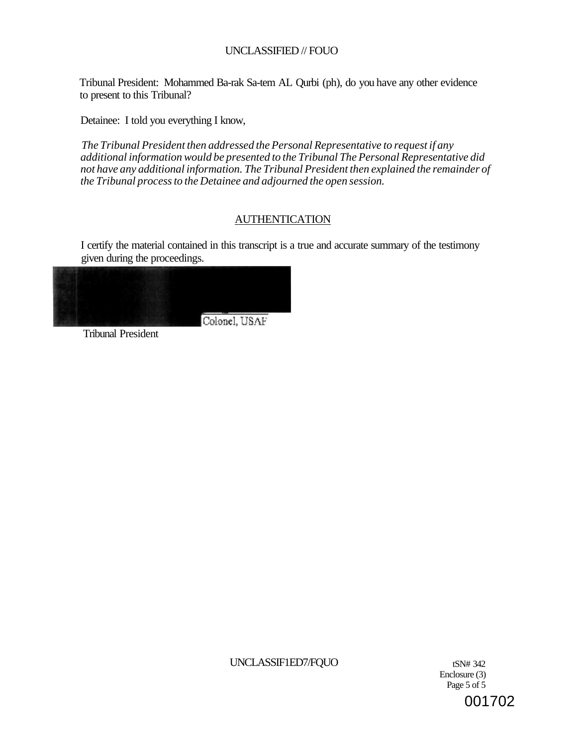Tribunal President: Mohammed Ba-rak Sa-tem AL Qurbi (ph), do you have any other evidence to present to this Tribunal?

Detainee: I told you everything I know,

*The Tribunal President then addressed the Personal Representative to request if any additional information would be presented to the Tribunal The Personal Representative did not have any additional information. The Tribunal President then explained the remainder of the Tribunal process to the Detainee and adjourned the open session.* 

# AUTHENTICATION

I certify the material contained in this transcript is a true and accurate summary of the testimony given during the proceedings.

Colonel, USAF

Tribunal President

UNCLASSIF1ED7/FQUO tSN# 342

Enclosure (3) Page 5 of 5 001702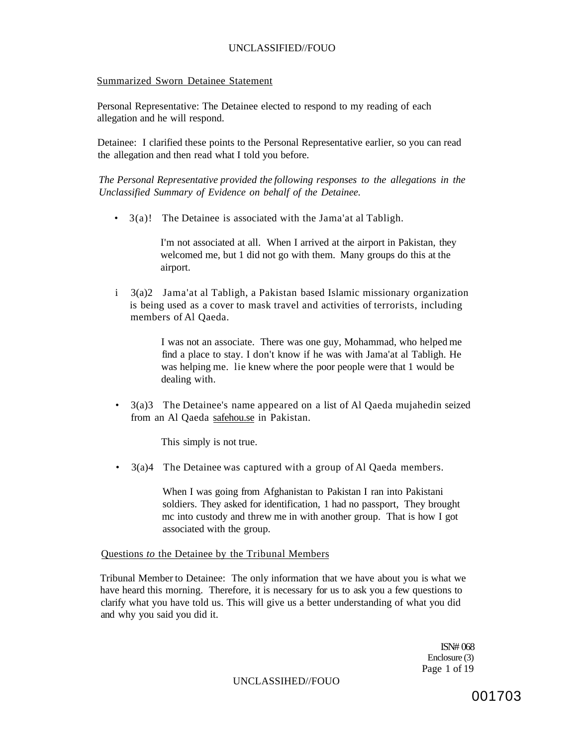#### Summarized Sworn Detainee Statement

Personal Representative: The Detainee elected to respond to my reading of each allegation and he will respond.

Detainee: I clarified these points to the Personal Representative earlier, so you can read the allegation and then read what I told you before.

*The Personal Representative provided the following responses to the allegations in the Unclassified Summary of Evidence on behalf of the Detainee.* 

• 3(a)! The Detainee is associated with the Jama'at al Tabligh.

I'm not associated at all. When I arrived at the airport in Pakistan, they welcomed me, but 1 did not go with them. Many groups do this at the airport.

i 3(a)2 Jama'at al Tabligh, a Pakistan based Islamic missionary organization is being used as a cover to mask travel and activities of terrorists, including members of Al Qaeda.

> I was not an associate. There was one guy, Mohammad, who helped me find a place to stay. I don't know if he was with Jama'at al Tabligh. He was helping me. lie knew where the poor people were that 1 would be dealing with.

• 3(a)3 The Detainee's name appeared on a list of Al Qaeda mujahedin seized from an Al Qaeda [safehou.se](http://safehou.se) in Pakistan.

This simply is not true.

• 3(a)4 The Detainee was captured with a group of Al Qaeda members.

When I was going from Afghanistan to Pakistan I ran into Pakistani soldiers. They asked for identification, 1 had no passport, They brought mc into custody and threw me in with another group. That is how I got associated with the group.

Questions *to* the Detainee by the Tribunal Members

Tribunal Member to Detainee: The only information that we have about you is what we have heard this morning. Therefore, it is necessary for us to ask you a few questions to clarify what you have told us. This will give us a better understanding of what you did and why you said you did it.

> ISN# 068 Enclosure (3) Page 1 of 19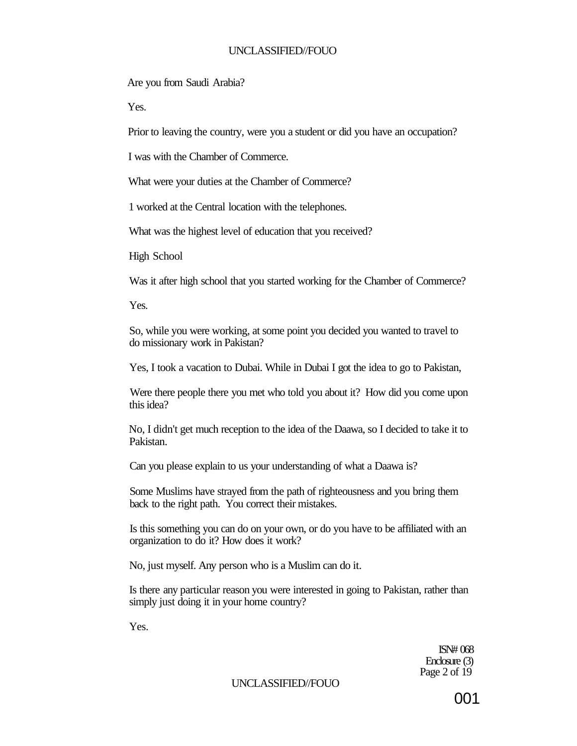Are you from Saudi Arabia?

Yes.

Prior to leaving the country, were you a student or did you have an occupation?

I was with the Chamber of Commerce.

What were your duties at the Chamber of Commerce?

1 worked at the Central location with the telephones.

What was the highest level of education that you received?

High School

Was it after high school that you started working for the Chamber of Commerce?

Yes.

So, while you were working, at some point you decided you wanted to travel to do missionary work in Pakistan?

Yes, I took a vacation to Dubai. While in Dubai I got the idea to go to Pakistan,

Were there people there you met who told you about it? How did you come upon this idea?

No, I didn't get much reception to the idea of the Daawa, so I decided to take it to Pakistan.

Can you please explain to us your understanding of what a Daawa is?

Some Muslims have strayed from the path of righteousness and you bring them back to the right path. You correct their mistakes.

Is this something you can do on your own, or do you have to be affiliated with an organization to do it? How does it work?

No, just myself. Any person who is a Muslim can do it.

Is there any particular reason you were interested in going to Pakistan, rather than simply just doing it in your home country?

Yes.

ISN# 068 Enclosure (3) Page 2 of 19

UNCLASSIFIED//FOUO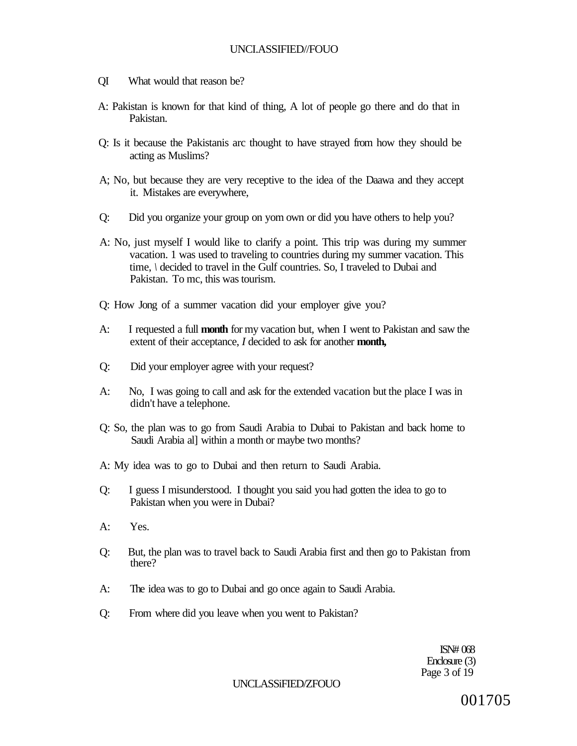- QI What would that reason be?
- A: Pakistan is known for that kind of thing, A lot of people go there and do that in Pakistan.
- Q: Is it because the Pakistanis arc thought to have strayed from how they should be acting as Muslims?
- A; No, but because they are very receptive to the idea of the Daawa and they accept it. Mistakes are everywhere,
- Q: Did you organize your group on yom own or did you have others to help you?
- A: No, just myself I would like to clarify a point. This trip was during my summer vacation. 1 was used to traveling to countries during my summer vacation. This time, *\* decided to travel in the Gulf countries. So, I traveled to Dubai and Pakistan. To mc, this was tourism.
- Q: How Jong of a summer vacation did your employer give you?
- A: I requested a full **month** for my vacation but, when I went to Pakistan and saw the extent of their acceptance, *I* decided to ask for another **month,**
- Q: Did your employer agree with your request?
- A: No, I was going to call and ask for the extended vacation but the place I was in didn't have a telephone.
- Q: So, the plan was to go from Saudi Arabia to Dubai to Pakistan and back home to Saudi Arabia al] within a month or maybe two months?
- A: My idea was to go to Dubai and then return to Saudi Arabia.
- Q: I guess I misunderstood. I thought you said you had gotten the idea to go to Pakistan when you were in Dubai?
- A: Yes.
- Q: But, the plan was to travel back to Saudi Arabia first and then go to Pakistan from there?
- A: The idea was to go to Dubai and go once again to Saudi Arabia.
- Q: From where did you leave when you went to Pakistan?

ISN# 068 Enclosure (3) Page 3 of 19

UNCLASSiFIED/ZFOUO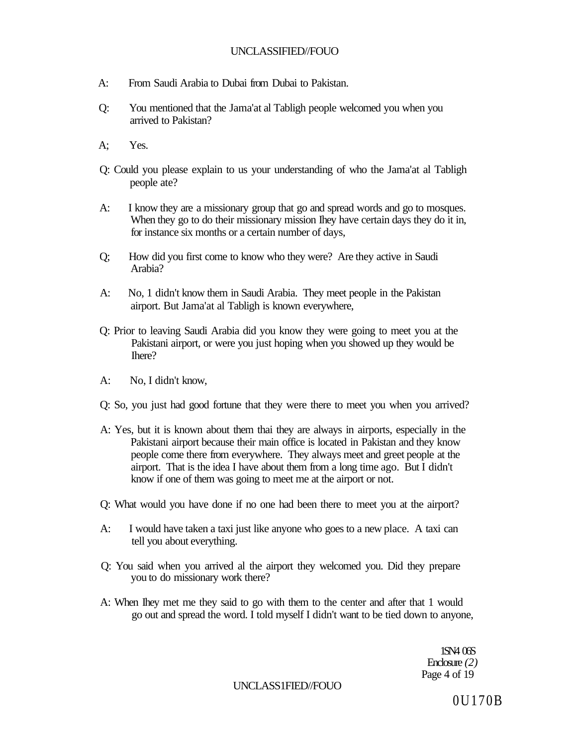- A: From Saudi Arabia to Dubai from Dubai to Pakistan.
- Q: You mentioned that the Jama'at al Tabligh people welcomed you when you arrived to Pakistan?
- A; Yes.
- Q: Could you please explain to us your understanding of who the Jama'at al Tabligh people ate?
- A: I know they are a missionary group that go and spread words and go to mosques. When they go to do their missionary mission Ihey have certain days they do it in, for instance six months or a certain number of days,
- Q; How did you first come to know who they were? Are they active in Saudi Arabia?
- A: No, 1 didn't know them in Saudi Arabia. They meet people in the Pakistan airport. But Jama'at al Tabligh is known everywhere,
- Q: Prior to leaving Saudi Arabia did you know they were going to meet you at the Pakistani airport, or were you just hoping when you showed up they would be Ihere?
- A: No, I didn't know,
- Q: So, you just had good fortune that they were there to meet you when you arrived?
- A: Yes, but it is known about them thai they are always in airports, especially in the Pakistani airport because their main office is located in Pakistan and they know people come there from everywhere. They always meet and greet people at the airport. That is the idea I have about them from a long time ago. But I didn't know if one of them was going to meet me at the airport or not.
- Q: What would you have done if no one had been there to meet you at the airport?
- A: I would have taken a taxi just like anyone who goes to a new place. A taxi can tell you about everything.
- Q: You said when you arrived al the airport they welcomed you. Did they prepare you to do missionary work there?
- A: When Ihey met me they said to go with them to the center and after that 1 would go out and spread the word. I told myself I didn't want to be tied down to anyone,

1SN4 06S Enclosure *(2)*  Page 4 of 19

UNCLASS1FIED//FOUO

0U170B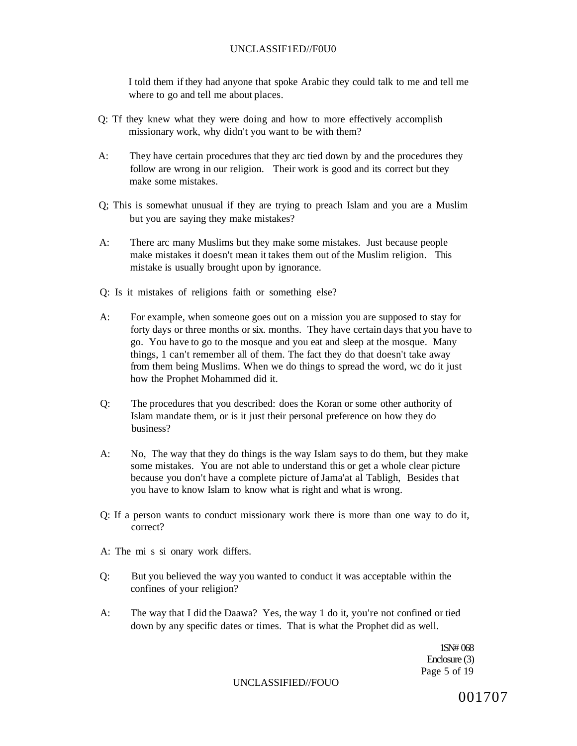### UNCLASSIF1ED//F0U0

I told them if they had anyone that spoke Arabic they could talk to me and tell me where to go and tell me about places.

- Q: Tf they knew what they were doing and how to more effectively accomplish missionary work, why didn't you want to be with them?
- A: They have certain procedures that they arc tied down by and the procedures they follow are wrong in our religion. Their work is good and its correct but they make some mistakes.
- Q; This is somewhat unusual if they are trying to preach Islam and you are a Muslim but you are saying they make mistakes?
- A: There arc many Muslims but they make some mistakes. Just because people make mistakes it doesn't mean it takes them out of the Muslim religion. This mistake is usually brought upon by ignorance.
- Q: Is it mistakes of religions faith or something else?
- A: For example, when someone goes out on a mission you are supposed to stay for forty days or three months or six. months. They have certain days that you have to go. You have to go to the mosque and you eat and sleep at the mosque. Many things, 1 can't remember all of them. The fact they do that doesn't take away from them being Muslims. When we do things to spread the word, wc do it just how the Prophet Mohammed did it.
- Q: The procedures that you described: does the Koran or some other authority of Islam mandate them, or is it just their personal preference on how they do business?
- A: No, The way that they do things is the way Islam says to do them, but they make some mistakes. You are not able to understand this or get a whole clear picture because you don't have a complete picture of Jama'at al Tabligh, Besides that you have to know Islam to know what is right and what is wrong.
- Q: If a person wants to conduct missionary work there is more than one way to do it, correct?
- A: The mi s si onary work differs.
- Q: But you believed the way you wanted to conduct it was acceptable within the confines of your religion?
- A: The way that I did the Daawa? Yes, the way 1 do it, you're not confined or tied down by any specific dates or times. That is what the Prophet did as well.

1SN# 068 Enclosure (3) Page 5 of 19

#### UNCLASSIFIED//FOUO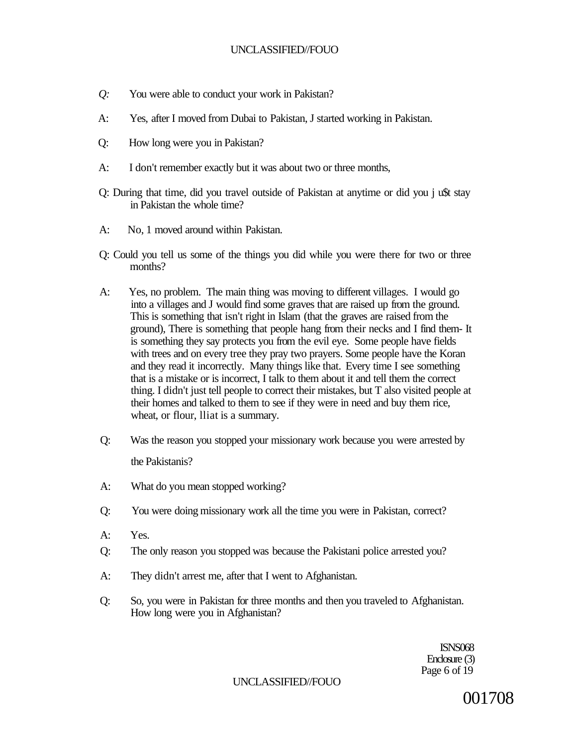- *Q:* You were able to conduct your work in Pakistan?
- A: Yes, after I moved from Dubai to Pakistan, J started working in Pakistan.
- Q: How long were you in Pakistan?
- A: I don't remember exactly but it was about two or three months,
- Q: During that time, did you travel outside of Pakistan at anytime or did you j u\$t stay in Pakistan the whole time?
- A: No, 1 moved around within Pakistan.
- Q: Could you tell us some of the things you did while you were there for two or three months?
- A: Yes, no problem. The main thing was moving to different villages. I would go into a villages and J would find some graves that are raised up from the ground. This is something that isn't right in Islam (that the graves are raised from the ground), There is something that people hang from their necks and I find them- It is something they say protects you from the evil eye. Some people have fields with trees and on every tree they pray two prayers. Some people have the Koran and they read it incorrectly. Many things like that. Every time I see something that is a mistake or is incorrect, I talk to them about it and tell them the correct thing. I didn't just tell people to correct their mistakes, but T also visited people at their homes and talked to them to see if they were in need and buy them rice, wheat, or flour, lliat is a summary.
- Q: Was the reason you stopped your missionary work because you were arrested by the Pakistanis?
- A: What do you mean stopped working?
- Q: You were doing missionary work all the time you were in Pakistan, correct?
- A: Yes.
- Q: The only reason you stopped was because the Pakistani police arrested you?
- A: They didn't arrest me, after that I went to Afghanistan.
- Q: So, you were in Pakistan for three months and then you traveled to Afghanistan. How long were you in Afghanistan?

ISNS068 Enclosure (3) Page 6 of 19

UNCLASSIFIED//FOUO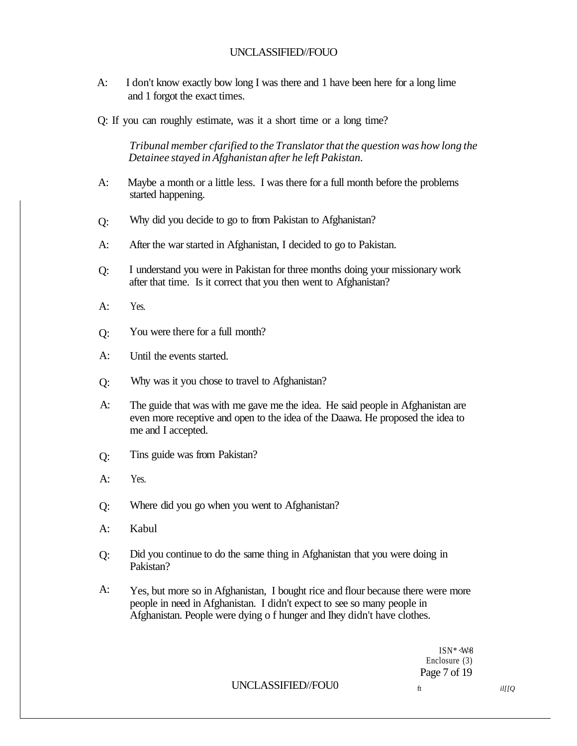- A: I don't know exactly bow long I was there and 1 have been here for a long lime and 1 forgot the exact times.
- Q: If you can roughly estimate, was it a short time or a long time?

*Tribunal member cfarified to the Translator that the question was how long the Detainee stayed in Afghanistan after he left Pakistan.* 

- A: Maybe a month or a little less. I was there for a full month before the problems started happening.
- Q: Why did you decide to go to from Pakistan to Afghanistan?
- A: After the war started in Afghanistan, I decided to go to Pakistan.
- Q: I understand you were in Pakistan for three months doing your missionary work after that time. Is it correct that you then went to Afghanistan?
- A: Yes.
- Q: You were there for a full month?
- A: Until the events started.
- Q: Why was it you chose to travel to Afghanistan?
- A: The guide that was with me gave me the idea. He said people in Afghanistan are even more receptive and open to the idea of the Daawa. He proposed the idea to me and I accepted.
- Q: Tins guide was from Pakistan?
- A: Yes.
- Q: Where did you go when you went to Afghanistan?
- A: Kabul
- Q: Did you continue to do the same thing in Afghanistan that you were doing in Pakistan?
- A: Yes, but more so in Afghanistan, I bought rice and flour because there were more people in need in Afghanistan. I didn't expect to see so many people in Afghanistan. People were dying o f hunger and Ihey didn't have clothes.

 $ISN*$   $\langle$ W $\rangle$ 8 Enclosure (3) Page 7 of 19

UNCLASSIFIED//FOU0 ft *il[[Q*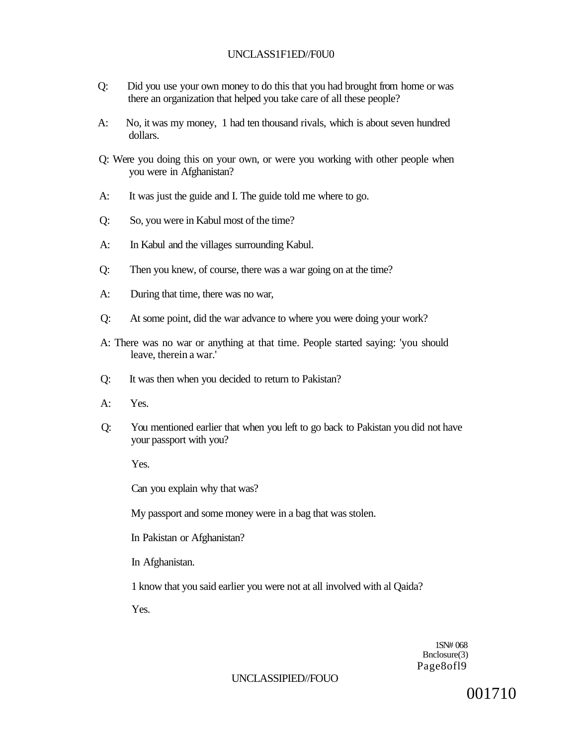### UNCLASS1F1ED//F0U0

- Q: Did you use your own money to do this that you had brought from home or was there an organization that helped you take care of all these people?
- A: No, it was my money, 1 had ten thousand rivals, which is about seven hundred dollars.
- Q: Were you doing this on your own, or were you working with other people when you were in Afghanistan?
- A: It was just the guide and I. The guide told me where to go.
- Q: So, you were in Kabul most of the time?
- A: In Kabul and the villages surrounding Kabul.
- Q: Then you knew, of course, there was a war going on at the time?
- A: During that time, there was no war,
- Q: At some point, did the war advance to where you were doing your work?
- A: There was no war or anything at that time. People started saying: 'you should leave, therein a war.'
- Q: It was then when you decided to return to Pakistan?
- A: Yes.
- Q: You mentioned earlier that when you left to go back to Pakistan you did not have your passport with you?

Yes.

Can you explain why that was?

My passport and some money were in a bag that was stolen.

In Pakistan or Afghanistan?

In Afghanistan.

1 know that you said earlier you were not at all involved with al Qaida?

Yes.

1SN# 068 Bnclosure(3) Page8ofl9

### UNCLASSIPIED//FOUO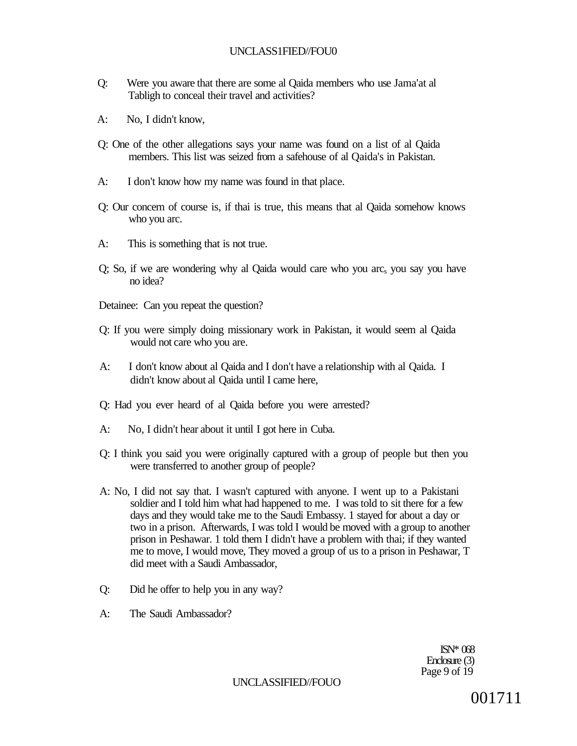- Q: Were you aware that there are some al Qaida members who use Jama'at al Tabligh to conceal their travel and activities?
- A: No, I didn't know,
- Q: One of the other allegations says your name was found on a list of al Qaida members. This list was seized from a safehouse of al Qaida's in Pakistan.
- A: I don't know how my name was found in that place.
- Q: Our concern of course is, if thai is true, this means that al Qaida somehow knows who you arc.
- A: This is something that is not true.
- $Q$ ; So, if we are wondering why al  $Q$ aida would care who you arc<sub>s</sub> you say you have no idea?
- Detainee: Can you repeat the question?
- Q: If you were simply doing missionary work in Pakistan, it would seem al Qaida would not care who you are.
- A: I don't know about al Qaida and I don't have a relationship with al Qaida. I didn't know about al Qaida until I came here,
- Q: Had you ever heard of al Qaida before you were arrested?
- A: No, I didn't hear about it until I got here in Cuba.
- Q: I think you said you were originally captured with a group of people but then you were transferred to another group of people?
- A: No, I did not say that. I wasn't captured with anyone. I went up to a Pakistani soldier and I told him what had happened to me. I was told to sit there for a few days and they would take me to the Saudi Embassy. 1 stayed for about a day or two in a prison. Afterwards, I was told I would be moved with a group to another prison in Peshawar. 1 told them I didn't have a problem with thai; if they wanted me to move, I would move, They moved a group of us to a prison in Peshawar, T did meet with a Saudi Ambassador,
- Q: Did he offer to help you in any way?
- A: The Saudi Ambassador?

ISN\* 068 Enclosure (3) Page 9 of 19

UNCLASSIFIED//FOUO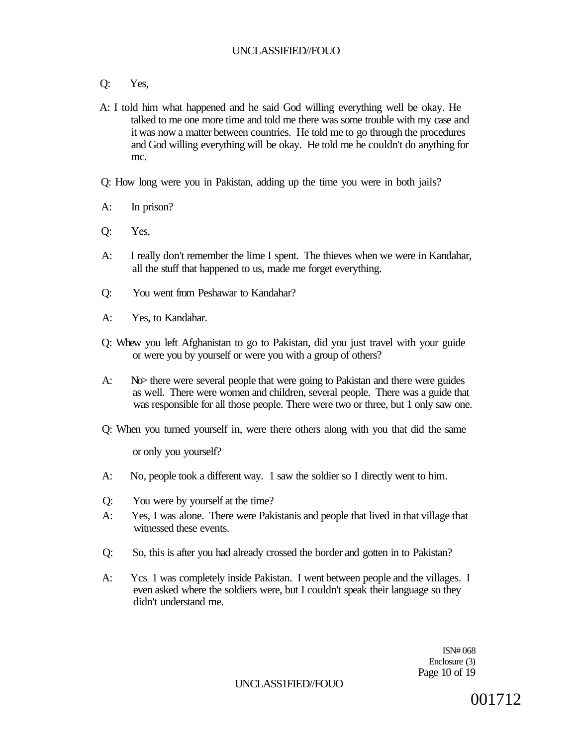- Q: Yes,
- A: I told him what happened and he said God willing everything well be okay. He talked to me one more time and told me there was some trouble with my case and it was now a matter between countries. He told me to go through the procedures and God willing everything will be okay. He told rne he couldn't do anything for mc.

Q: How long were you in Pakistan, adding up the time you were in both jails?

- A: In prison?
- Q: Yes,
- A: I really don't remember the lime I spent. The thieves when we were in Kandahar, all the stuff that happened to us, made me forget everything.
- Q: You went from Peshawar to Kandahar?
- A: Yes, to Kandahar.
- Q: Whew you left Afghanistan to go to Pakistan, did you just travel with your guide or were you by yourself or were you with a group of others?
- A: No there were several people that were going to Pakistan and there were guides as well. There were women and children, several people. There was a guide that was responsible for all those people. There were two or three, but 1 only saw one.
- Q: When you turned yourself in, were there others along with you that did the same

or only you yourself?

- A: No, people took a different way. 1 saw the soldier so I directly went to him.
- Q: You were by yourself at the time?
- A: Yes, I was alone. There were Pakistanis and people that lived in that village that witnessed these events.
- Q: So, this is after you had already crossed the border and gotten in to Pakistan?
- A: Ycs: 1 was completely inside Pakistan. I went between people and the villages. I even asked where the soldiers were, but I couldn't speak their language so they didn't understand me.

ISN# 068 Enclosure (3) Page 10 of 19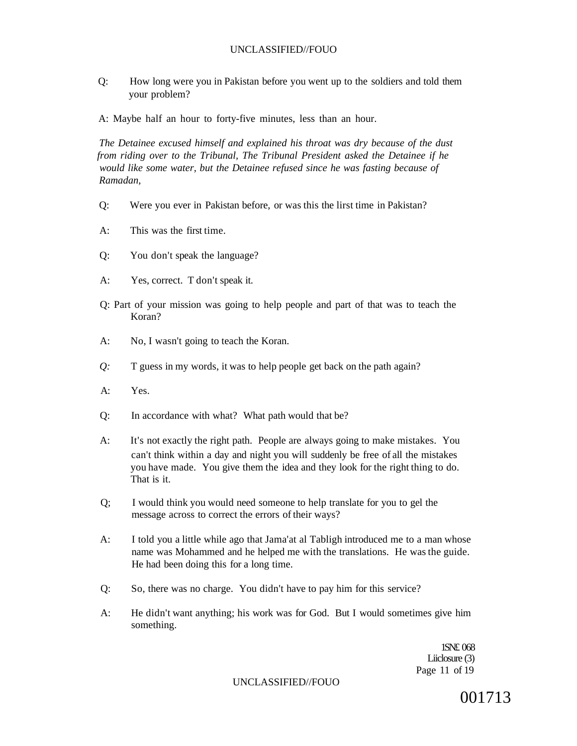Q: How long were you in Pakistan before you went up to the soldiers and told them your problem?

A: Maybe half an hour to forty-five minutes, less than an hour.

*The Detainee excused himself and explained his throat was dry because of the dust from riding over to the Tribunal, The Tribunal President asked the Detainee if he would like some water, but the Detainee refused since he was fasting because of Ramadan,* 

- Q: Were you ever in Pakistan before, or was this the lirst time in Pakistan?
- A: This was the first time.
- Q: You don't speak the language?
- A: Yes, correct. T don't speak it.
- Q: Part of your mission was going to help people and part of that was to teach the Koran?
- A: No, I wasn't going to teach the Koran.
- *Q:* T guess in my words, it was to help people get back on the path again?
- A: Yes.
- Q: In accordance with what? What path would that be?
- A: It's not exactly the right path. People are always going to make mistakes. You can't think within a day and night you will suddenly be free of all the mistakes you have made. You give them the idea and they look for the right thing to do. That is it.
- Q; I would think you would need someone to help translate for you to gel the message across to correct the errors of their ways?
- A: I told you a little while ago that Jama'at al Tabligh introduced me to a man whose name was Mohammed and he helped me with the translations. He was the guide. He had been doing this for a long time.
- Q: So, there was no charge. You didn't have to pay him for this service?
- A: He didn't want anything; his work was for God. But I would sometimes give him something.

1SN£ 068 Liiclosure (3) Page 11 of 19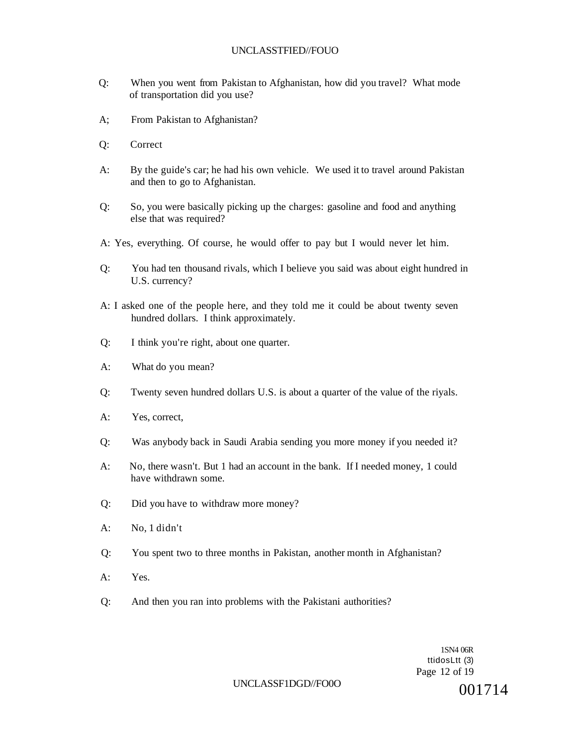- Q: When you went from Pakistan to Afghanistan, how did you travel? What mode of transportation did you use?
- A; From Pakistan to Afghanistan?
- Q: Correct
- A: By the guide's car; he had his own vehicle. We used it to travel around Pakistan and then to go to Afghanistan.
- Q: So, you were basically picking up the charges: gasoline and food and anything else that was required?
- A: Yes, everything. Of course, he would offer to pay but I would never let him.
- Q: You had ten thousand rivals, which I believe you said was about eight hundred in U.S. currency?
- A: I asked one of the people here, and they told me it could be about twenty seven hundred dollars. I think approximately.
- Q: I think you're right, about one quarter.
- A: What do you mean?
- Q: Twenty seven hundred dollars U.S. is about a quarter of the value of the riyals.
- A: Yes, correct,
- Q: Was anybody back in Saudi Arabia sending you more money if you needed it?
- A: No, there wasn't. But 1 had an account in the bank. If I needed money, 1 could have withdrawn some.
- Q: Did you have to withdraw more money?
- A: No, 1 didn't
- Q: You spent two to three months in Pakistan, another month in Afghanistan?
- A: Yes.
- Q: And then you ran into problems with the Pakistani authorities?

1SN4 06R ttidosLtt (3) Page 12 of 19

#### UNCLASSF1DGD//FO0O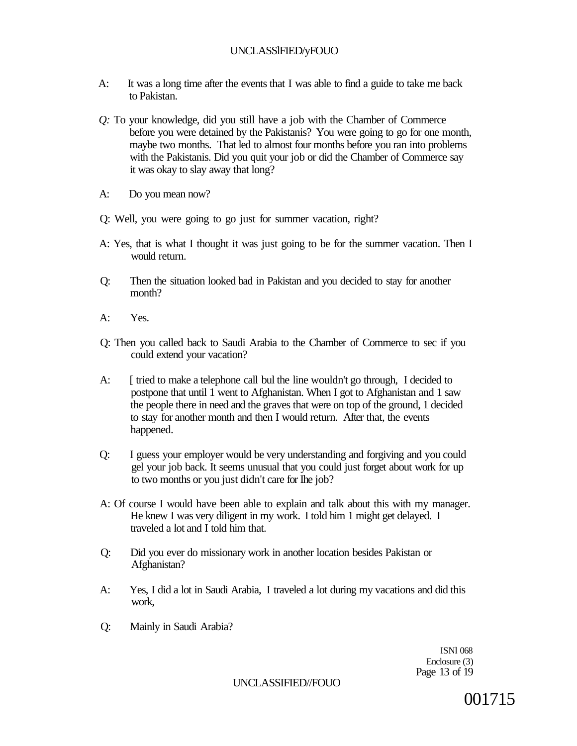# UNCLASSlFIED/yFOUO

- A: It was a long time after the events that I was able to find a guide to take me back to Pakistan.
- *Q:* To your knowledge, did you still have a job with the Chamber of Commerce before you were detained by the Pakistanis? You were going to go for one month, maybe two months. That led to almost four months before you ran into problems with the Pakistanis. Did you quit your job or did the Chamber of Commerce say it was okay to slay away that long?
- A: Do you mean now?
- Q: Well, you were going to go just for summer vacation, right?
- A: Yes, that is what I thought it was just going to be for the summer vacation. Then I would return.
- Q: Then the situation looked bad in Pakistan and you decided to stay for another month?
- A: Yes.
- Q: Then you called back to Saudi Arabia to the Chamber of Commerce to sec if you could extend your vacation?
- A: [ tried to make a telephone call bul the line wouldn't go through, I decided to postpone that until 1 went to Afghanistan. When I got to Afghanistan and 1 saw the people there in need and the graves that were on top of the ground, 1 decided to stay for another month and then I would return. After that, the events happened.
- Q: I guess your employer would be very understanding and forgiving and you could gel your job back. It seems unusual that you could just forget about work for up to two months or you just didn't care for Ihe job?
- A: Of course I would have been able to explain and talk about this with my manager. He knew I was very diligent in my work. I told him 1 might get delayed. I traveled a lot and I told him that.
- Q: Did you ever do missionary work in another location besides Pakistan or Afghanistan?
- A: Yes, I did a lot in Saudi Arabia, I traveled a lot during my vacations and did this work,
- Q: Mainly in Saudi Arabia?

ISNl 068 Enclosure (3) Page 13 of 19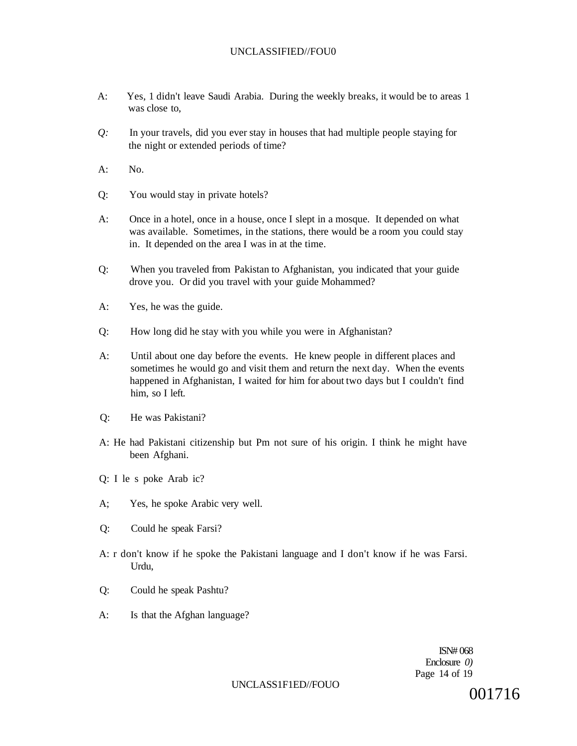- A: Yes, 1 didn't leave Saudi Arabia. During the weekly breaks, it would be to areas 1 was close to,
- *Q:* In your travels, did you ever stay in houses that had multiple people staying for the night or extended periods of time?
- $A^T$  No.
- Q: You would stay in private hotels?
- A: Once in a hotel, once in a house, once I slept in a mosque. It depended on what was available. Sometimes, in the stations, there would be a room you could stay in. It depended on the area I was in at the time.
- Q: When you traveled from Pakistan to Afghanistan, you indicated that your guide drove you. Or did you travel with your guide Mohammed?
- A: Yes, he was the guide.
- Q: How long did he stay with you while you were in Afghanistan?
- A: Until about one day before the events. He knew people in different places and sometimes he would go and visit them and return the next day. When the events happened in Afghanistan, I waited for him for about two days but I couldn't find him, so I left.
- Q: He was Pakistani?
- A: He had Pakistani citizenship but Pm not sure of his origin. I think he might have been Afghani.
- Q: I le s poke Arab ic?
- A; Yes, he spoke Arabic very well.
- Q: Could he speak Farsi?
- A: r don't know if he spoke the Pakistani language and I don't know if he was Farsi. Urdu,
- Q: Could he speak Pashtu?
- A: Is that the Afghan language?

ISN# 068 Enclosure *0)*  Page 14 of 19

# UNCLASS1F1ED/FOUO  $001716$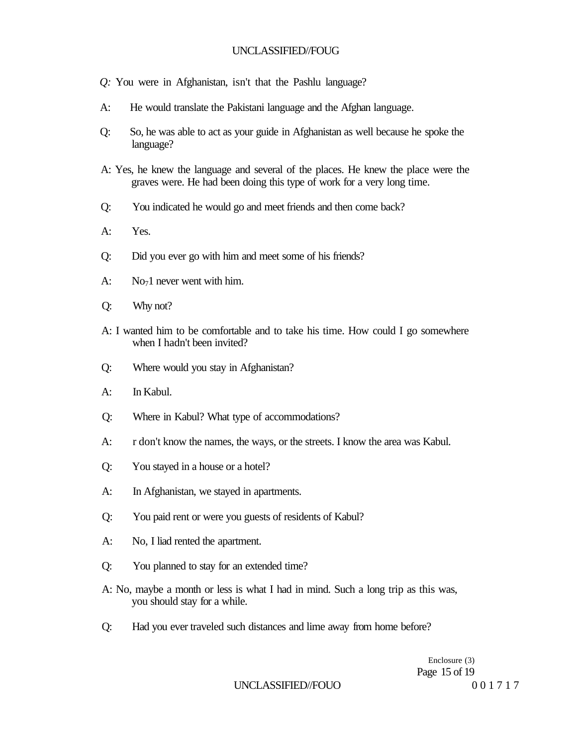- *Q:* You were in Afghanistan, isn't that the Pashlu language?
- A: He would translate the Pakistani language and the Afghan language.
- Q: So, he was able to act as your guide in Afghanistan as well because he spoke the language?
- A: Yes, he knew the language and several of the places. He knew the place were the graves were. He had been doing this type of work for a very long time.
- Q: You indicated he would go and meet friends and then come back?
- A: Yes.
- Q: Did you ever go with him and meet some of his friends?
- $A: \qquad No<sub>7</sub>1$  never went with him.
- Q: Why not?
- A: I wanted him to be comfortable and to take his time. How could I go somewhere when I hadn't been invited?
- Q: Where would you stay in Afghanistan?
- A: In Kabul.
- Q: Where in Kabul? What type of accommodations?
- A: r don't know the names, the ways, or the streets. I know the area was Kabul.
- Q: You stayed in a house or a hotel?
- A: In Afghanistan, we stayed in apartments.
- Q: You paid rent or were you guests of residents of Kabul?
- A: No, I liad rented the apartment.
- Q: You planned to stay for an extended time?
- A: No, maybe a month or less is what I had in mind. Such a long trip as this was, you should stay for a while.
- Q: Had you ever traveled such distances and lime away from home before?

Enclosure (3) Page 15 of 19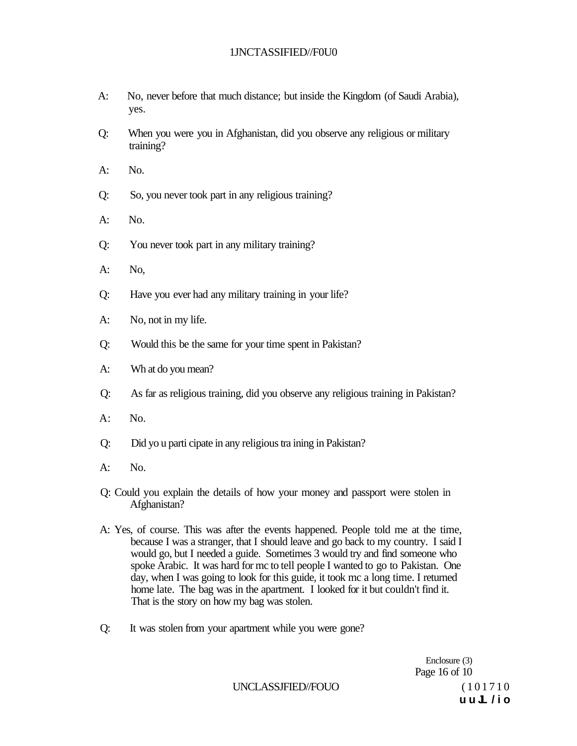### 1JNCTASSIFIED//F0U0

- A: No, never before that much distance; but inside the Kingdom (of Saudi Arabia), yes.
- Q: When you were you in Afghanistan, did you observe any religious or military training?
- A: No.
- Q: So, you never took part in any religious training?
- A: No.
- Q: You never took part in any military training?
- A: No,
- Q: Have you ever had any military training in your life?
- A: No, not in my life.
- Q: Would this be the same for your time spent in Pakistan?
- A: Wh at do you mean?
- Q: As far as religious training, did you observe any religious training in Pakistan?
- A: No.
- Q: Did yo u parti cipate in any religious tra ining in Pakistan?
- A: No.
- Q: Could you explain the details of how your money and passport were stolen in Afghanistan?
- A: Yes, of course. This was after the events happened. People told me at the time, because I was a stranger, that I should leave and go back to my country. I said I would go, but I needed a guide. Sometimes 3 would try and find someone who spoke Arabic. It was hard for mc to tell people I wanted to go to Pakistan. One day, when I was going to look for this guide, it took mc a long time. I returned home late. The bag was in the apartment. I looked for it but couldn't find it. That is the story on how my bag was stolen.
- Q: It was stolen from your apartment while you were gone?

Enclosure (3) Page 16 of 10 **u u JL /i o** 

UNCLASSJFIED//FOUO (101710)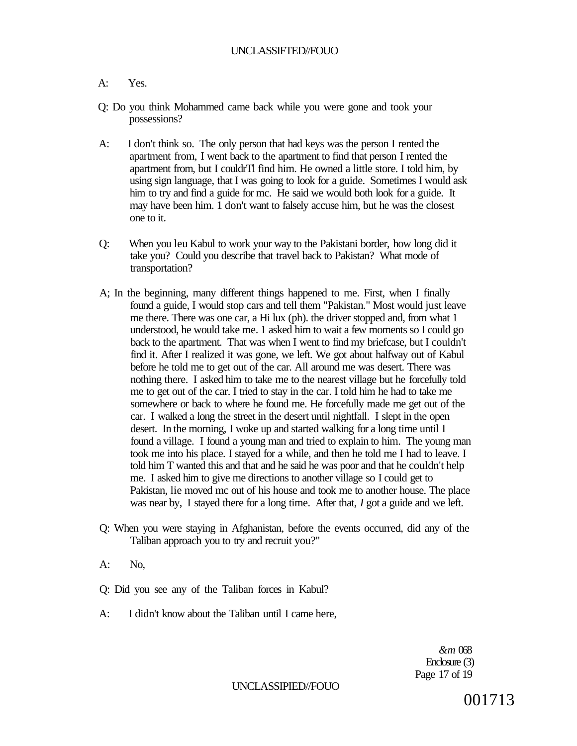#### A: Yes.

- Q: Do you think Mohammed came back while you were gone and took your possessions?
- A: I don't think so. The only person that had keys was the person I rented the apartment from, I went back to the apartment to find that person I rented the apartment from, but I couldrTl find him. He owned a little store. I told him, by using sign language, that I was going to look for a guide. Sometimes I would ask him to try and find a guide for mc. He said we would both look for a guide. It may have been him. 1 don't want to falsely accuse him, but he was the closest one to it.
- Q: When you leu Kabul to work your way to the Pakistani border, how long did it take you? Could you describe that travel back to Pakistan? What mode of transportation?
- A; In the beginning, many different things happened to me. First, when I finally found a guide, I would stop cars and tell them "Pakistan." Most would just leave me there. There was one car, a Hi lux (ph). the driver stopped and, from what 1 understood, he would take me. 1 asked him to wait a few moments so I could go back to the apartment. That was when I went to find my briefcase, but I couldn't find it. After I realized it was gone, we left. We got about halfway out of Kabul before he told me to get out of the car. All around me was desert. There was nothing there. I asked him to take me to the nearest village but he forcefully told me to get out of the car. I tried to stay in the car. I told him he had to take me somewhere or back to where he found me. He forcefully made me get out of the car. I walked a long the street in the desert until nightfall. I slept in the open desert. In the morning, I woke up and started walking for a long time until I found a village. I found a young man and tried to explain to him. The young man took me into his place. I stayed for a while, and then he told me I had to leave. I told him T wanted this and that and he said he was poor and that he couldn't help me. I asked him to give me directions to another village so I could get to Pakistan, lie moved mc out of his house and took me to another house. The place was near by, I stayed there for a long time. After that, *I* got a guide and we left.
- Q: When you were staying in Afghanistan, before the events occurred, did any of the Taliban approach you to try and recruit you?"
- A: No,
- Q: Did you see any of the Taliban forces in Kabul?
- A: I didn't know about the Taliban until I came here,

*&m* 068 Enclosure (3) Page 17 of 19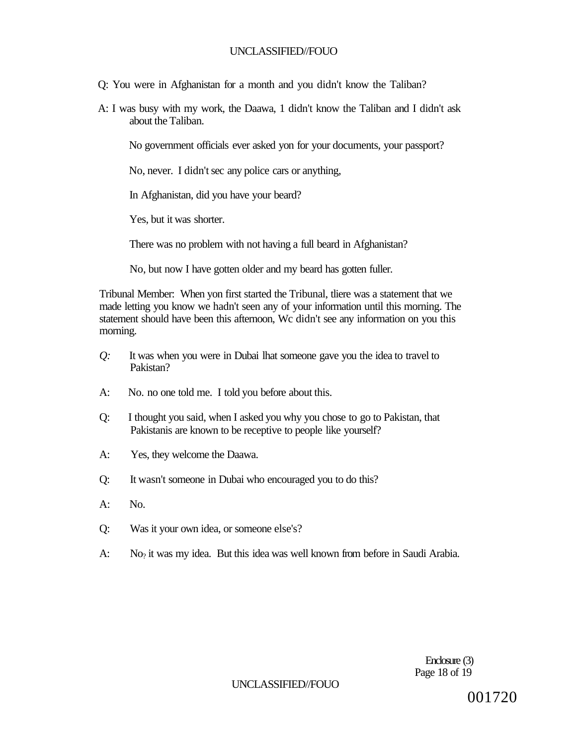- Q: You were in Afghanistan for a month and you didn't know the Taliban?
- A: I was busy with my work, the Daawa, 1 didn't know the Taliban and I didn't ask about the Taliban.

No government officials ever asked yon for your documents, your passport?

No, never. I didn't sec any police cars or anything,

In Afghanistan, did you have your beard?

Yes, but it was shorter.

There was no problem with not having a full beard in Afghanistan?

No, but now I have gotten older and my beard has gotten fuller.

Tribunal Member: When yon first started the Tribunal, tliere was a statement that we made letting you know we hadn't seen any of your information until this morning. The statement should have been this afternoon, Wc didn't see any information on you this morning.

- *Q:* It was when you were in Dubai lhat someone gave you the idea to travel to Pakistan?
- A: No. no one told me. I told you before about this.
- Q: I thought you said, when I asked you why you chose to go to Pakistan, that Pakistanis are known to be receptive to people like yourself?
- A: Yes, they welcome the Daawa.
- Q: It wasn't someone in Dubai who encouraged you to do this?
- A: No.
- Q: Was it your own idea, or someone else's?
- A: No<sub>?</sub> it was my idea. But this idea was well known from before in Saudi Arabia.

Enclosure (3) Page 18 of 19

#### UNCLASSIFIED//FOUO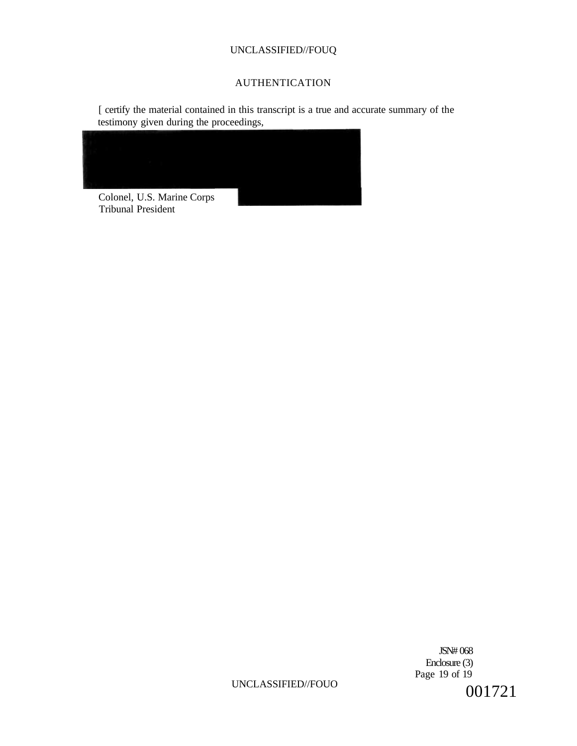# AUTHENTICATION

[ certify the material contained in this transcript is a true and accurate summary of the testimony given during the proceedings,



Tribunal President

JSN# 068 Enclosure (3) Page 19 of 19 001721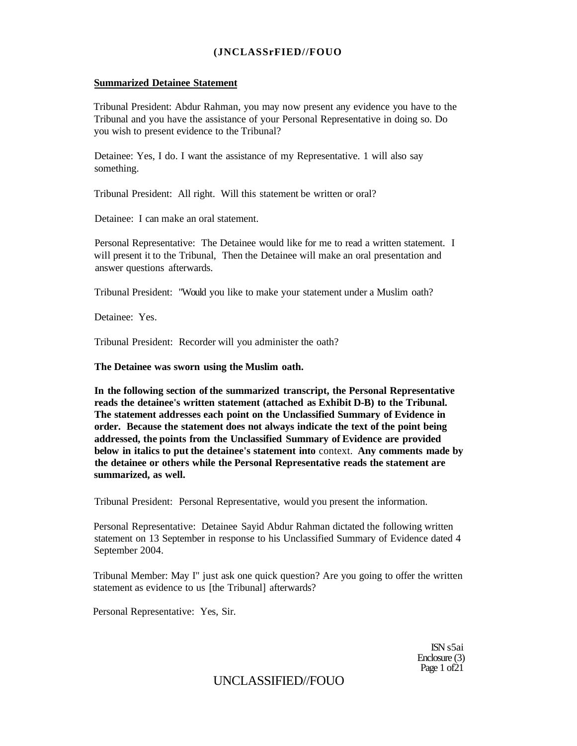### **(JNCLASSrFIED//FOUO**

#### **Summarized Detainee Statement**

Tribunal President: Abdur Rahman, you may now present any evidence you have to the Tribunal and you have the assistance of your Personal Representative in doing so. Do you wish to present evidence to the Tribunal?

Detainee: Yes, I do. I want the assistance of my Representative. 1 will also say something.

Tribunal President: All right. Will this statement be written or oral?

Detainee: I can make an oral statement.

Personal Representative: The Detainee would like for me to read a written statement. I will present it to the Tribunal, Then the Detainee will make an oral presentation and answer questions afterwards.

Tribunal President: "Would you like to make your statement under a Muslim oath?

Detainee: Yes.

Tribunal President: Recorder will you administer the oath?

**The Detainee was sworn using the Muslim oath.** 

**In the following section of the summarized transcript, the Personal Representative reads the detainee's written statement (attached as Exhibit D-B) to the Tribunal. The statement addresses each point on the Unclassified Summary of Evidence in order. Because the statement does not always indicate the text of the point being addressed, the points from the Unclassified Summary of Evidence are provided below in italics to put the detainee's statement into** context. **Any comments made by the detainee or others while the Personal Representative reads the statement are summarized, as well.** 

Tribunal President: Personal Representative, would you present the information.

Personal Representative: Detainee Sayid Abdur Rahman dictated the following written statement on 13 September in response to his Unclassified Summary of Evidence dated 4 September 2004.

Tribunal Member: May I" just ask one quick question? Are you going to offer the written statement as evidence to us [the Tribunal] afterwards?

Personal Representative: Yes, Sir.

ISN s5ai Enclosure (3) Page 1 of 21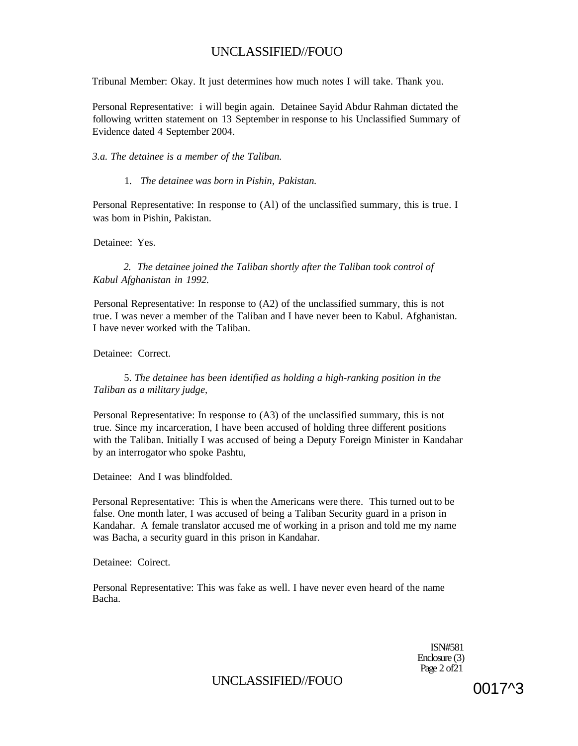Tribunal Member: Okay. It just determines how much notes I will take. Thank you.

Personal Representative: i will begin again. Detainee Sayid Abdur Rahman dictated the following written statement on 13 September in response to his Unclassified Summary of Evidence dated 4 September 2004.

#### *3.a. The detainee is a member of the Taliban.*

#### 1*. The detainee was born in Pishin, Pakistan.*

Personal Representative: In response to (Al) of the unclassified summary, this is true. I was bom in Pishin, Pakistan.

#### Detainee: Yes.

*2. The detainee joined the Taliban shortly after the Taliban took control of Kabul Afghanistan in 1992.* 

Personal Representative: In response to (A2) of the unclassified summary, this is not true. I was never a member of the Taliban and I have never been to Kabul. Afghanistan. I have never worked with the Taliban.

Detainee: Correct.

5. *The detainee has been identified as holding a high-ranking position in the Taliban as a military judge,* 

Personal Representative: In response to (A3) of the unclassified summary, this is not true. Since my incarceration, I have been accused of holding three different positions with the Taliban. Initially I was accused of being a Deputy Foreign Minister in Kandahar by an interrogator who spoke Pashtu,

Detainee: And I was blindfolded.

Personal Representative: This is when the Americans were there. This turned out to be false. One month later, I was accused of being a Taliban Security guard in a prison in Kandahar. A female translator accused me of working in a prison and told me my name was Bacha, a security guard in this prison in Kandahar.

Detainee: Coirect.

Personal Representative: This was fake as well. I have never even heard of the name Bacha.

> ISN#581 Enclosure (3) Page  $2$  of  $21$

UNCLASSIFIED//FOUO 0017^3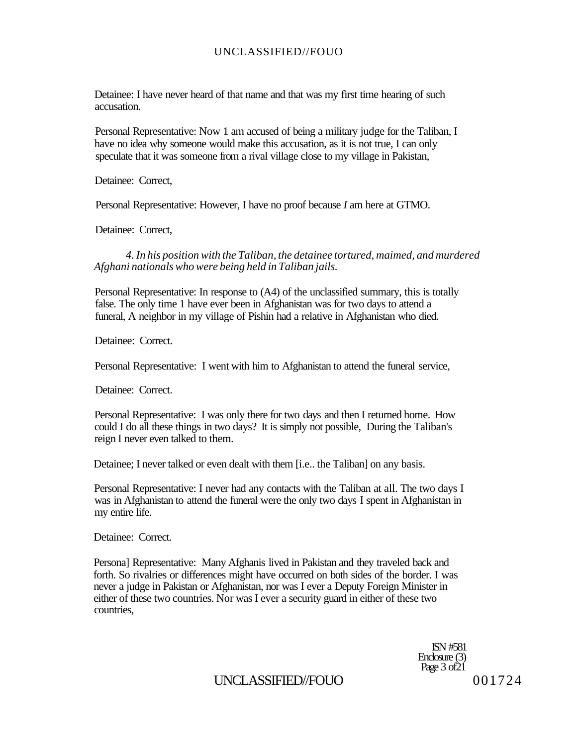Detainee: I have never heard of that name and that was my first time hearing of such accusation.

Personal Representative: Now 1 am accused of being a military judge for the Taliban, I have no idea why someone would make this accusation, as it is not true, I can only speculate that it was someone from a rival village close to my village in Pakistan,

Detainee: Correct,

Personal Representative: However, I have no proof because *I* am here at GTMO.

Detainee: Correct,

*4. In his position with the Taliban, the detainee tortured, maimed, and murdered Afghani nationals who were being held in Taliban jails.* 

Personal Representative: In response to (A4) of the unclassified summary, this is totally false. The only time 1 have ever been in Afghanistan was for two days to attend a funeral, A neighbor in my village of Pishin had a relative in Afghanistan who died.

Detainee: Correct.

Personal Representative: I went with him to Afghanistan to attend the funeral service,

Detainee: Correct.

Personal Representative: I was only there for two days and then I returned home. How could I do all these things in two days? It is simply not possible, During the Taliban's reign I never even talked to them.

Detainee; I never talked or even dealt with them [i.e.. the Taliban] on any basis.

Personal Representative: I never had any contacts with the Taliban at all. The two days I was in Afghanistan to attend the funeral were the only two days I spent in Afghanistan in my entire life.

Detainee: Correct.

Persona] Representative: Many Afghanis lived in Pakistan and they traveled back and forth. So rivalries or differences might have occurred on both sides of the border. I was never a judge in Pakistan or Afghanistan, nor was I ever a Deputy Foreign Minister in either of these two countries. Nor was I ever a security guard in either of these two countries,

> ISN #581 Enclosure (3) Page 3 of 21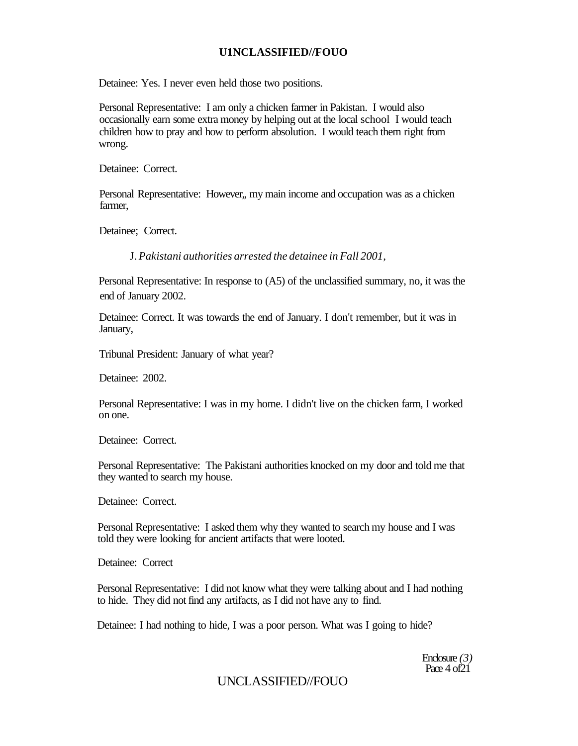Detainee: Yes. I never even held those two positions.

Personal Representative: I am only a chicken farmer in Pakistan. I would also occasionally earn some extra money by helping out at the local school I would teach children how to pray and how to perform absolution. I would teach them right from wrong.

Detainee: Correct.

Personal Representative: However,, my main income and occupation was as a chicken farmer,

Detainee; Correct.

J. *Pakistani authorities arrested the detainee in Fall 2001,* 

Personal Representative: In response to (A5) of the unclassified summary, no, it was the end of January 2002.

Detainee: Correct. It was towards the end of January. I don't remember, but it was in January,

Tribunal President: January of what year?

Detainee: 2002.

Personal Representative: I was in my home. I didn't live on the chicken farm, I worked on one.

Detainee: Correct.

Personal Representative: The Pakistani authorities knocked on my door and told me that they wanted to search my house.

Detainee: Correct.

Personal Representative: I asked them why they wanted to search my house and I was told they were looking for ancient artifacts that were looted.

Detainee: Correct

Personal Representative: I did not know what they were talking about and I had nothing to hide. They did not find any artifacts, as I did not have any to find.

Detainee: I had nothing to hide, I was a poor person. What was I going to hide?

Enclosure *(3)*  Pace 4 of21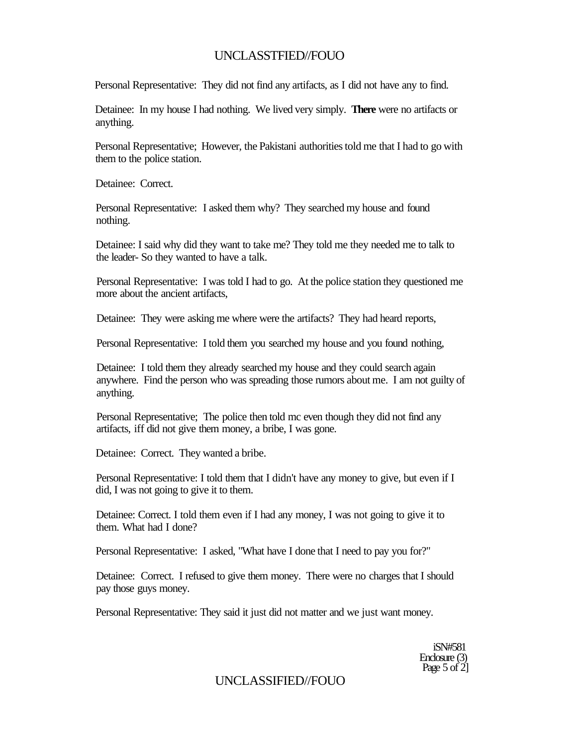Personal Representative: They did not find any artifacts, as I did not have any to find.

Detainee: In my house I had nothing. We lived very simply. **There** were no artifacts or anything.

Personal Representative; However, the Pakistani authorities told me that I had to go with them to the police station.

Detainee: Correct.

Personal Representative: I asked them why? They searched my house and found nothing.

Detainee: I said why did they want to take me? They told me they needed me to talk to the leader- So they wanted to have a talk.

Personal Representative: I was told I had to go. At the police station they questioned me more about the ancient artifacts,

Detainee: They were asking me where were the artifacts? They had heard reports,

Personal Representative: I told them you searched my house and you found nothing,

Detainee: I told them they already searched my house and they could search again anywhere. Find the person who was spreading those rumors about me. I am not guilty of anything.

Personal Representative; The police then told mc even though they did not find any artifacts, iff did not give them money, a bribe, I was gone.

Detainee: Correct. They wanted a bribe.

Personal Representative: I told them that I didn't have any money to give, but even if I did, I was not going to give it to them.

Detainee: Correct. I told them even if I had any money, I was not going to give it to them. What had I done?

Personal Representative: I asked, "What have I done that I need to pay you for?"

Detainee: Correct. I refused to give them money. There were no charges that I should pay those guys money.

Personal Representative: They said it just did not matter and we just want money.

iSN#581 Enclosure (3) Page 5 of  $2$ ]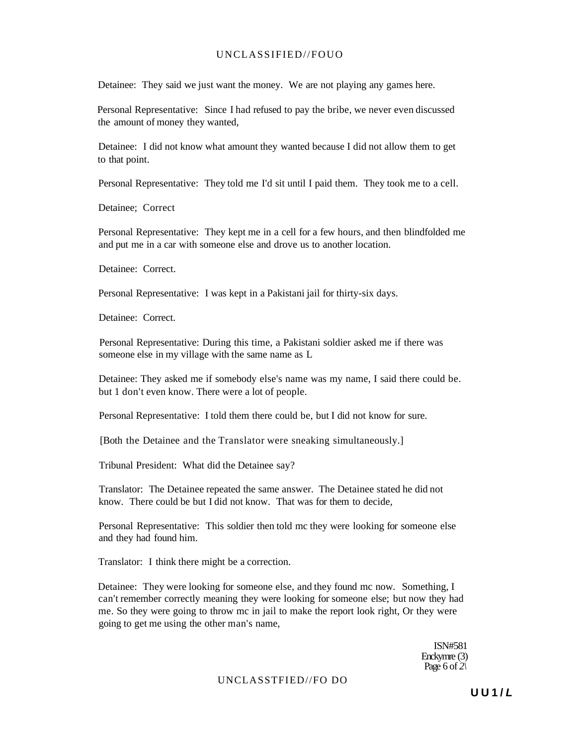Detainee: They said we just want the money. We are not playing any games here.

Personal Representative: Since I had refused to pay the bribe, we never even discussed the amount of money they wanted,

Detainee: I did not know what amount they wanted because I did not allow them to get to that point.

Personal Representative: They told me I'd sit until I paid them. They took me to a cell.

Detainee; Correct

Personal Representative: They kept me in a cell for a few hours, and then blindfolded me and put me in a car with someone else and drove us to another location.

Detainee: Correct

Personal Representative: I was kept in a Pakistani jail for thirty-six days.

Detainee: Correct.

Personal Representative: During this time, a Pakistani soldier asked me if there was someone else in my village with the same name as L

Detainee: They asked me if somebody else's name was my name, I said there could be. but 1 don't even know. There were a lot of people.

Personal Representative: I told them there could be, but I did not know for sure.

[Both the Detainee and the Translator were sneaking simultaneously.]

Tribunal President: What did the Detainee say?

Translator: The Detainee repeated the same answer. The Detainee stated he did not know. There could be but I did not know. That was for them to decide,

Personal Representative: This soldier then told mc they were looking for someone else and they had found him.

Translator: I think there might be a correction.

Detainee: They were looking for someone else, and they found mc now. Something, I can't remember correctly meaning they were looking for someone else; but now they had me. So they were going to throw mc in jail to make the report look right, Or they were going to get me using the other man's name,

> ISN#581 Enckymre (3) Page 6 of *2\*

UNCLASSTFIED//FO DO

**U U 1 / L**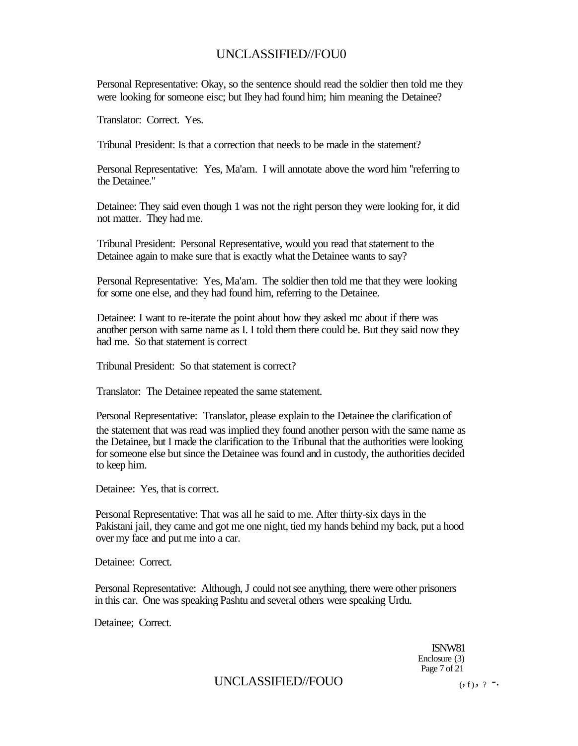Personal Representative: Okay, so the sentence should read the soldier then told me they were looking for someone eisc; but Ihey had found him; him meaning the Detainee?

Translator: Correct. Yes.

Tribunal President: Is that a correction that needs to be made in the statement?

Personal Representative: Yes, Ma'am. I will annotate above the word him ''referring to the Detainee."

Detainee: They said even though 1 was not the right person they were looking for, it did not matter. They had me.

Tribunal President: Personal Representative, would you read that statement to the Detainee again to make sure that is exactly what the Detainee wants to say?

Personal Representative: Yes, Ma'am. The soldier then told me that they were looking for some one else, and they had found him, referring to the Detainee.

Detainee: I want to re-iterate the point about how they asked mc about if there was another person with same name as I. I told them there could be. But they said now they had me. So that statement is correct

Tribunal President: So that statement is correct?

Translator: The Detainee repeated the same statement.

Personal Representative: Translator, please explain to the Detainee the clarification of the statement that was read was implied they found another person with the same name as the Detainee, but I made the clarification to the Tribunal that the authorities were looking for someone else but since the Detainee was found and in custody, the authorities decided to keep him.

Detainee: Yes, that is correct.

Personal Representative: That was all he said to me. After thirty-six days in the Pakistani jail, they came and got me one night, tied my hands behind my back, put a hood over my face and put me into a car.

Detainee: Correct.

Personal Representative: Although, J could not see anything, there were other prisoners in this car. One was speaking Pashtu and several others were speaking Urdu.

Detainee; Correct.

ISNW81 Enclosure (3) Page 7 of 21

# UNCLASSIFIED//FOUO (

 $($ , f  $)$ , ? -.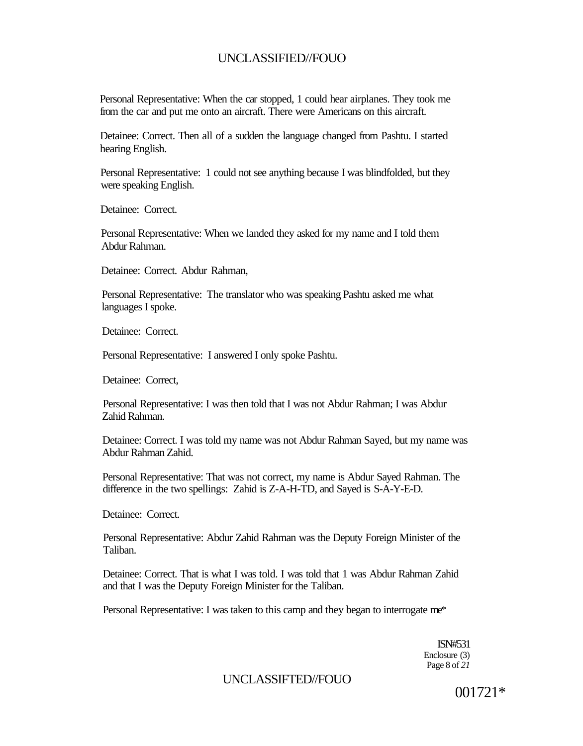Personal Representative: When the car stopped, 1 could hear airplanes. They took me from the car and put me onto an aircraft. There were Americans on this aircraft.

Detainee: Correct. Then all of a sudden the language changed from Pashtu. I started hearing English.

Personal Representative: 1 could not see anything because I was blindfolded, but they were speaking English.

Detainee: Correct.

Personal Representative: When we landed they asked for my name and I told them Abdur Rahman.

Detainee: Correct. Abdur Rahman,

Personal Representative: The translator who was speaking Pashtu asked me what languages I spoke.

Detainee: Correct.

Personal Representative: I answered I only spoke Pashtu.

Detainee: Correct,

Personal Representative: I was then told that I was not Abdur Rahman; I was Abdur Zahid Rahman.

Detainee: Correct. I was told my name was not Abdur Rahman Sayed, but my name was Abdur Rahman Zahid.

Personal Representative: That was not correct, my name is Abdur Sayed Rahman. The difference in the two spellings: Zahid is Z-A-H-TD, and Sayed is S-A-Y-E-D.

Detainee: Correct.

Personal Representative: Abdur Zahid Rahman was the Deputy Foreign Minister of the Taliban.

Detainee: Correct. That is what I was told. I was told that 1 was Abdur Rahman Zahid and that I was the Deputy Foreign Minister for the Taliban.

Personal Representative: I was taken to this camp and they began to interrogate me\*

ISN#531 Enclosure (3) Page 8 of *21* 

UNCLASSIFTED//FOUO

001721\*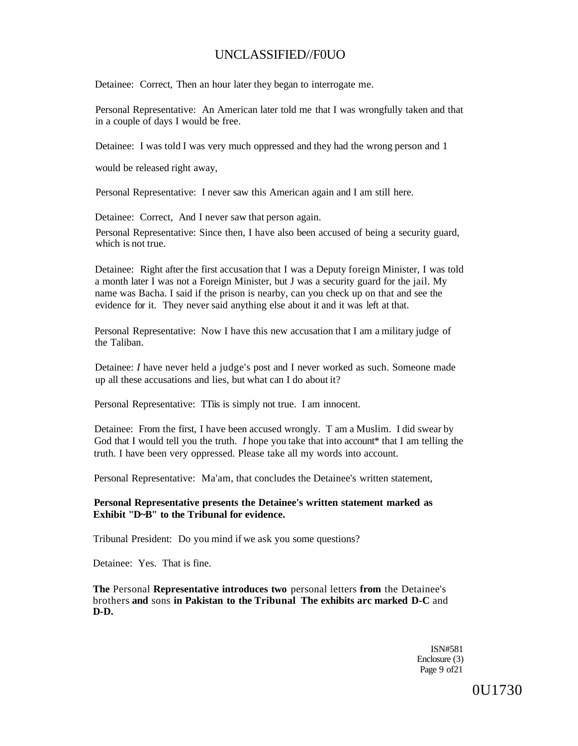Detainee: Correct, Then an hour later they began to interrogate me.

Personal Representative: An American later told me that I was wrongfully taken and that in a couple of days I would be free.

Detainee: I was told I was very much oppressed and they had the wrong person and 1

would be released right away,

Personal Representative: I never saw this American again and I am still here.

Detainee: Correct, And I never saw that person again.

Personal Representative: Since then, I have also been accused of being a security guard, which is not true.

Detainee: Right after the first accusation that I was a Deputy foreign Minister, I was told a month later I was not a Foreign Minister, but J was a security guard for the jail. My name was Bacha. I said if the prison is nearby, can you check up on that and see the evidence for it. They never said anything else about it and it was left at that.

Personal Representative: Now I have this new accusation that I am a military judge of the Taliban.

Detainee: *I* have never held a judge's post and I never worked as such. Someone made up all these accusations and lies, but what can I do about it?

Personal Representative: TTiis is simply not true. I am innocent.

Detainee: From the first, I have been accused wrongly. T am a Muslim. I did swear by God that I would tell you the truth. *I* hope you take that into account\* that I am telling the truth. I have been very oppressed. Please take all my words into account.

Personal Representative: Ma'am, that concludes the Detainee's written statement,

**Personal Representative presents the Detainee's written statement marked as Exhibit "D~B" to the Tribunal for evidence.** 

Tribunal President: Do you mind if we ask you some questions?

Detainee: Yes. That is fine.

**The** Personal **Representative introduces two** personal letters **from** the Detainee's brothers **and** sons **in Pakistan to the Tribunal The exhibits arc marked D-C** and **D-D.** 

> ISN#581 Enclosure (3) Page 9 of 21

> > 0U1730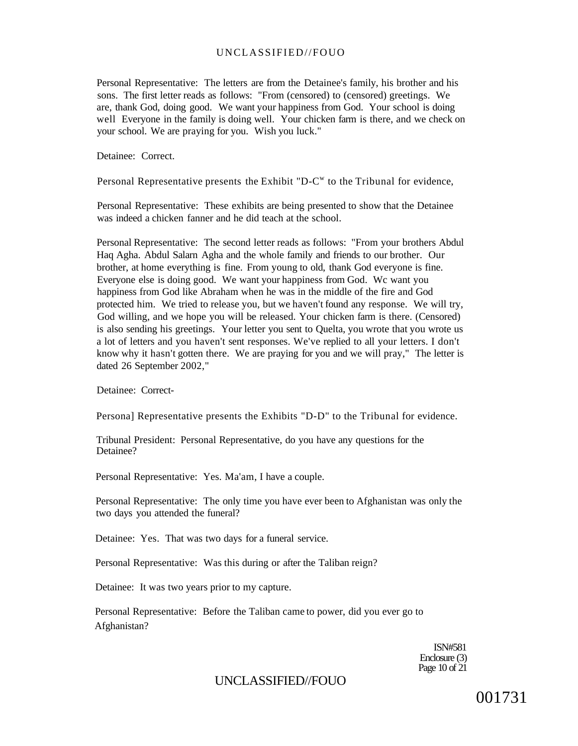Personal Representative: The letters are from the Detainee's family, his brother and his sons. The first letter reads as follows: "From (censored) to (censored) greetings. We are, thank God, doing good. We want your happiness from God. Your school is doing well Everyone in the family is doing well. Your chicken farm is there, and we check on your school. We are praying for you. Wish you luck."

Detainee: Correct.

Personal Representative presents the Exhibit "D- $C<sup>w</sup>$  to the Tribunal for evidence,

Personal Representative: These exhibits are being presented to show that the Detainee was indeed a chicken fanner and he did teach at the school.

Personal Representative: The second letter reads as follows: "From your brothers Abdul Haq Agha. Abdul Salarn Agha and the whole family and friends to our brother. Our brother, at home everything is fine. From young to old, thank God everyone is fine. Everyone else is doing good. We want your happiness from God. Wc want you happiness from God like Abraham when he was in the middle of the fire and God protected him. We tried to release you, but we haven't found any response. We will try, God willing, and we hope you will be released. Your chicken farm is there. (Censored) is also sending his greetings. Your letter you sent to Quelta, you wrote that you wrote us a lot of letters and you haven't sent responses. We've replied to all your letters. I don't know why it hasn't gotten there. We are praying for you and we will pray," The letter is dated 26 September 2002,"

Detainee: Correct-

Persona] Representative presents the Exhibits "D-D" to the Tribunal for evidence.

Tribunal President: Personal Representative, do you have any questions for the Detainee?

Personal Representative: Yes. Ma'am, I have a couple.

Personal Representative: The only time you have ever been to Afghanistan was only the two days you attended the funeral?

Detainee: Yes. That was two days for a funeral service.

Personal Representative: Was this during or after the Taliban reign?

Detainee: It was two years prior to my capture.

Personal Representative: Before the Taliban came to power, did you ever go to Afghanistan?

> ISN#581 Enclosure (3) Page 10 of 21

# UNCLASSIFIED//FOUO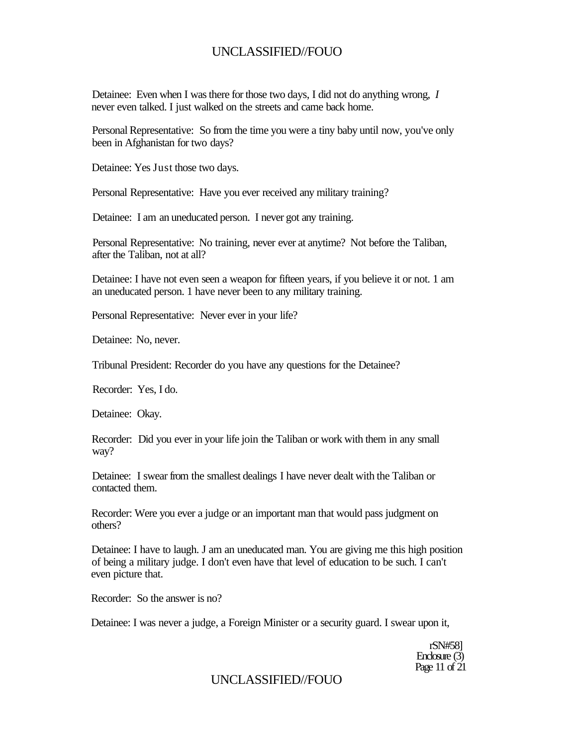Detainee: Even when I was there for those two days, I did not do anything wrong, *I*  never even talked. I just walked on the streets and came back home.

Personal Representative: So from the time you were a tiny baby until now, you've only been in Afghanistan for two days?

Detainee: Yes Just those two days.

Personal Representative: Have you ever received any military training?

Detainee: I am an uneducated person. I never got any training.

Personal Representative: No training, never ever at anytime? Not before the Taliban, after the Taliban, not at all?

Detainee: I have not even seen a weapon for fifteen years, if you believe it or not. 1 am an uneducated person. 1 have never been to any military training.

Personal Representative: Never ever in your life?

Detainee: No, never.

Tribunal President: Recorder do you have any questions for the Detainee?

Recorder: Yes, I do.

Detainee: Okay.

Recorder: Did you ever in your life join the Taliban or work with them in any small way?

Detainee: I swear from the smallest dealings I have never dealt with the Taliban or contacted them.

Recorder: Were you ever a judge or an important man that would pass judgment on others?

Detainee: I have to laugh. J am an uneducated man. You are giving me this high position of being a military judge. I don't even have that level of education to be such. I can't even picture that.

Recorder: So the answer is no?

Detainee: I was never a judge, a Foreign Minister or a security guard. I swear upon it,

rSN#58] Enclosure (3) Page 11 of 21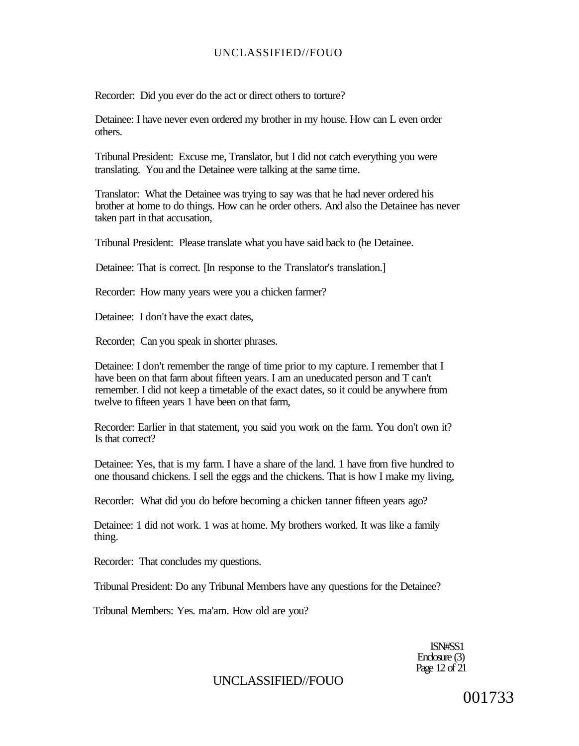Recorder: Did you ever do the act or direct others to torture?

Detainee: I have never even ordered my brother in my house. How can L even order others.

Tribunal President: Excuse me, Translator, but I did not catch everything you were translating. You and the Detainee were talking at the same time.

Translator: What the Detainee was trying to say was that he had never ordered his brother at home to do things. How can he order others. And also the Detainee has never taken part in that accusation,

Tribunal President: Please translate what you have said back to (he Detainee.

Detainee: That is correct. [In response to the Translator's translation.]

Recorder: How many years were you a chicken farmer?

Detainee: I don't have the exact dates,

Recorder; Can you speak in shorter phrases.

Detainee: I don't remember the range of time prior to my capture. I remember that I have been on that farm about fifteen years. I am an uneducated person and T can't remember. I did not keep a timetable of the exact dates, so it could be anywhere from twelve to fifteen years 1 have been on that farm,

Recorder: Earlier in that statement, you said you work on the farm. You don't own it? Is that correct?

Detainee: Yes, that is my farm. I have a share of the land. 1 have from five hundred to one thousand chickens. I sell the eggs and the chickens. That is how I make my living,

Recorder: What did you do before becoming a chicken tanner fifteen years ago?

Detainee: 1 did not work. 1 was at home. My brothers worked. It was like a family thing.

Recorder: That concludes my questions.

Tribunal President: Do any Tribunal Members have any questions for the Detainee?

Tribunal Members: Yes. ma'am. How old are you?

ISN#SS1 Enclosure (3) Page 12 of 21

# UNCLASSIFIED//FOUO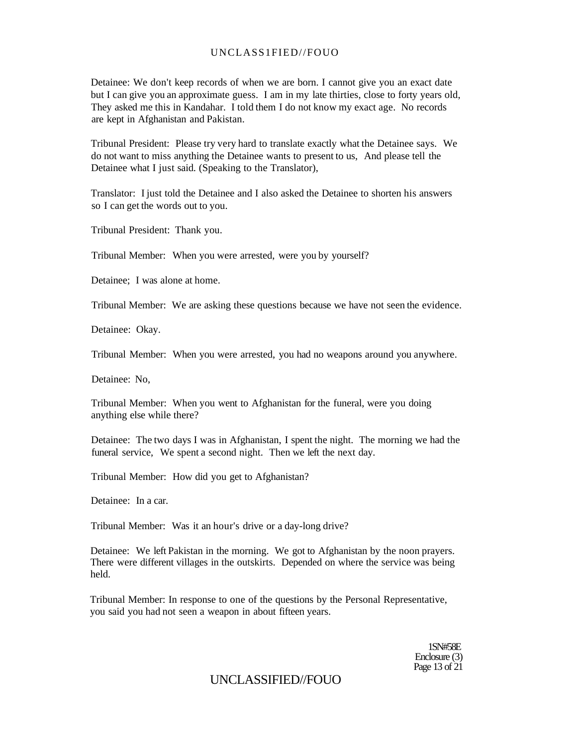Detainee: We don't keep records of when we are born. I cannot give you an exact date but I can give you an approximate guess. I am in my late thirties, close to forty years old, They asked me this in Kandahar. I told them I do not know my exact age. No records are kept in Afghanistan and Pakistan.

Tribunal President: Please try very hard to translate exactly what the Detainee says. We do not want to miss anything the Detainee wants to present to us, And please tell the Detainee what I just said. (Speaking to the Translator),

Translator: I just told the Detainee and I also asked the Detainee to shorten his answers so I can get the words out to you.

Tribunal President: Thank you.

Tribunal Member: When you were arrested, were you by yourself?

Detainee; I was alone at home.

Tribunal Member: We are asking these questions because we have not seen the evidence.

Detainee: Okay.

Tribunal Member: When you were arrested, you had no weapons around you anywhere.

Detainee: No,

Tribunal Member: When you went to Afghanistan for the funeral, were you doing anything else while there?

Detainee: The two days I was in Afghanistan, I spent the night. The morning we had the funeral service, We spent a second night. Then we left the next day.

Tribunal Member: How did you get to Afghanistan?

Detainee: In a car.

Tribunal Member: Was it an hour's drive or a day-long drive?

Detainee: We left Pakistan in the morning. We got to Afghanistan by the noon prayers. There were different villages in the outskirts. Depended on where the service was being held.

Tribunal Member: In response to one of the questions by the Personal Representative, you said you had not seen a weapon in about fifteen years.

> 1SN#58E Enclosure (3) Page 13 of 21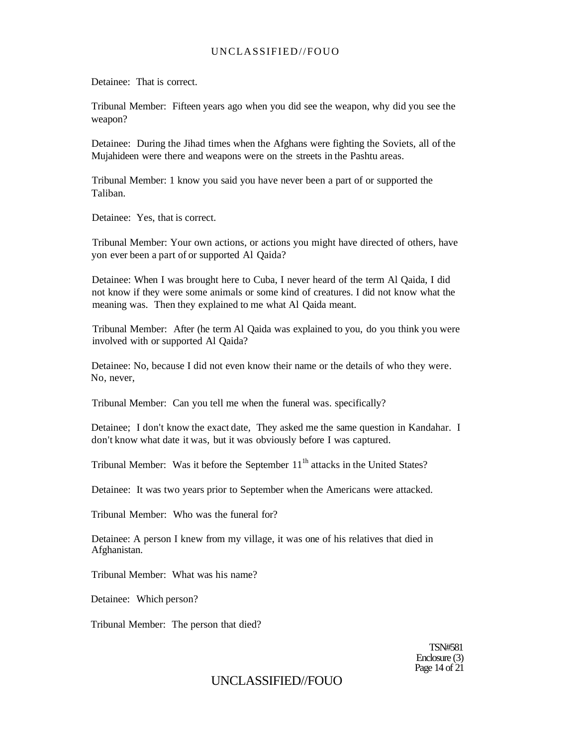Detainee: That is correct.

Tribunal Member: Fifteen years ago when you did see the weapon, why did you see the weapon?

Detainee: During the Jihad times when the Afghans were fighting the Soviets, all of the Mujahideen were there and weapons were on the streets in the Pashtu areas.

Tribunal Member: 1 know you said you have never been a part of or supported the Taliban.

Detainee: Yes, that is correct.

Tribunal Member: Your own actions, or actions you might have directed of others, have yon ever been a part of or supported Al Qaida?

Detainee: When I was brought here to Cuba, I never heard of the term Al Qaida, I did not know if they were some animals or some kind of creatures. I did not know what the meaning was. Then they explained to me what Al Qaida meant.

Tribunal Member: After (he term Al Qaida was explained to you, do you think you were involved with or supported Al Qaida?

Detainee: No, because I did not even know their name or the details of who they were. No, never,

Tribunal Member: Can you tell me when the funeral was. specifically?

Detainee; I don't know the exact date, They asked me the same question in Kandahar. I don't know what date it was, but it was obviously before I was captured.

Tribunal Member: Was it before the September  $11<sup>th</sup>$  attacks in the United States?

Detainee: It was two years prior to September when the Americans were attacked.

Tribunal Member: Who was the funeral for?

Detainee: A person I knew from my village, it was one of his relatives that died in Afghanistan.

Tribunal Member: What was his name?

Detainee: Which person?

Tribunal Member: The person that died?

TSN#581 Enclosure (3) Page 14 of  $21$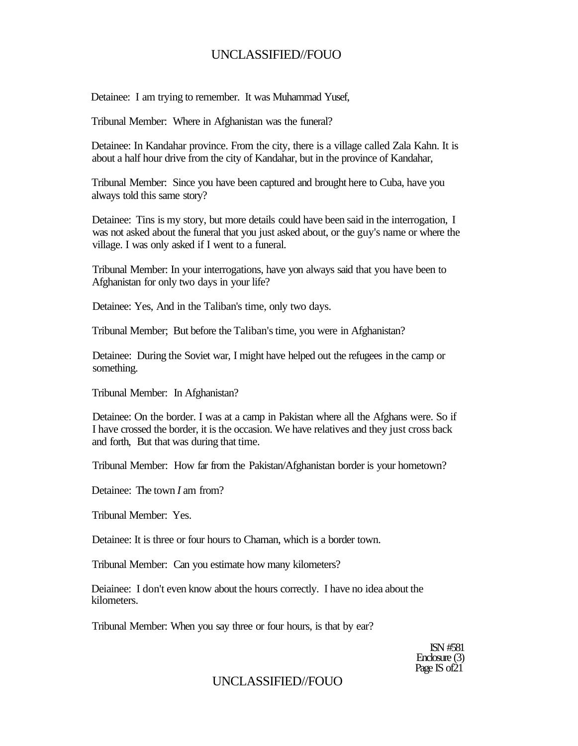Detainee: I am trying to remember. It was Muhammad Yusef,

Tribunal Member: Where in Afghanistan was the funeral?

Detainee: In Kandahar province. From the city, there is a village called Zala Kahn. It is about a half hour drive from the city of Kandahar, but in the province of Kandahar,

Tribunal Member: Since you have been captured and brought here to Cuba, have you always told this same story?

Detainee: Tins is my story, but more details could have been said in the interrogation, I was not asked about the funeral that you just asked about, or the guy's name or where the village. I was only asked if I went to a funeral.

Tribunal Member: In your interrogations, have yon always said that you have been to Afghanistan for only two days in your life?

Detainee: Yes, And in the Taliban's time, only two days.

Tribunal Member; But before the Taliban's time, you were in Afghanistan?

Detainee: During the Soviet war, I might have helped out the refugees in the camp or something.

Tribunal Member: In Afghanistan?

Detainee: On the border. I was at a camp in Pakistan where all the Afghans were. So if I have crossed the border, it is the occasion. We have relatives and they just cross back and forth, But that was during that time.

Tribunal Member: How far from the Pakistan/Afghanistan border is your hometown?

Detainee: The town *I* am from?

Tribunal Member: Yes.

Detainee: It is three or four hours to Chaman, which is a border town.

Tribunal Member: Can you estimate how many kilometers?

Deiainee: I don't even know about the hours correctly. I have no idea about the kilometers.

Tribunal Member: When you say three or four hours, is that by ear?

ISN #581 Enclosure (3) Page IS of 21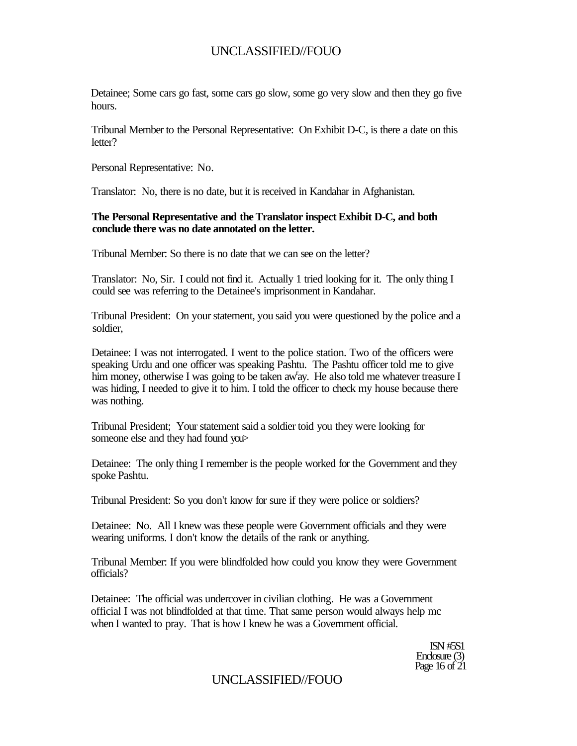Detainee; Some cars go fast, some cars go slow, some go very slow and then they go five hours.

Tribunal Member to the Personal Representative: On Exhibit D-C, is there a date on this letter?

Personal Representative: No.

Translator: No, there is no date, but it is received in Kandahar in Afghanistan.

#### **The Personal Representative and the Translator inspect Exhibit D-C, and both conclude there was no date annotated on the letter.**

Tribunal Member: So there is no date that we can see on the letter?

Translator: No, Sir. I could not find it. Actually 1 tried looking for it. The only thing I could see was referring to the Detainee's imprisonment in Kandahar.

Tribunal President: On your statement, you said you were questioned by the police and a soldier,

Detainee: I was not interrogated. I went to the police station. Two of the officers were speaking Urdu and one officer was speaking Pashtu. The Pashtu officer told me to give him money, otherwise I was going to be taken aw'ay. He also told me whatever treasure I was hiding, I needed to give it to him. I told the officer to check my house because there was nothing.

Tribunal President; Your statement said a soldier toid you they were looking for someone else and they had found you>

Detainee: The only thing I remember is the people worked for the Government and they spoke Pashtu.

Tribunal President: So you don't know for sure if they were police or soldiers?

Detainee: No. All I knew was these people were Government officials and they were wearing uniforms. I don't know the details of the rank or anything.

Tribunal Member: If you were blindfolded how could you know they were Government officials?

Detainee: The official was undercover in civilian clothing. He was a Government official I was not blindfolded at that time. That same person would always help mc when I wanted to pray. That is how I knew he was a Government official.

> ISN #5S1 Enclosure (3) Page 16 of 21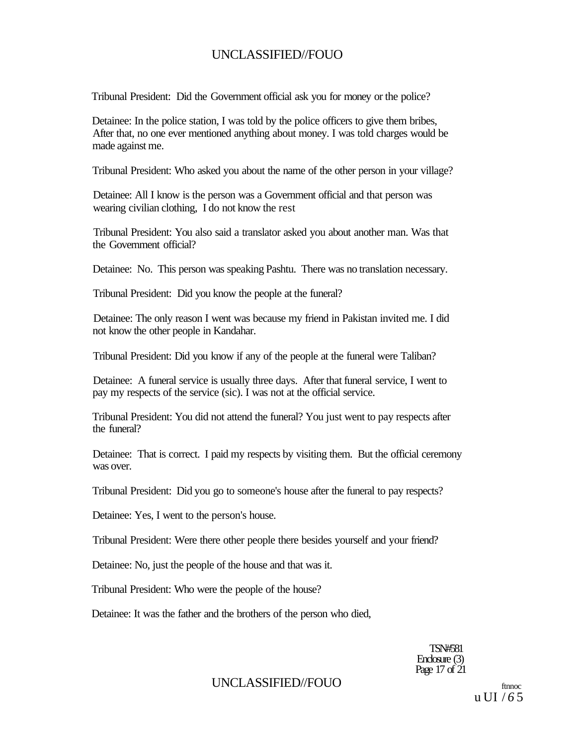Tribunal President: Did the Government official ask you for money or the police?

Detainee: In the police station, I was told by the police officers to give them bribes, After that, no one ever mentioned anything about money. I was told charges would be made against me.

Tribunal President: Who asked you about the name of the other person in your village?

Detainee: All I know is the person was a Government official and that person was wearing civilian clothing, I do not know the rest

Tribunal President: You also said a translator asked you about another man. Was that the Government official?

Detainee: No. This person was speaking Pashtu. There was no translation necessary.

Tribunal President: Did you know the people at the funeral?

Detainee: The only reason I went was because my friend in Pakistan invited me. I did not know the other people in Kandahar.

Tribunal President: Did you know if any of the people at the funeral were Taliban?

Detainee: A funeral service is usually three days. After that funeral service, I went to pay my respects of the service (sic). I was not at the official service.

Tribunal President: You did not attend the funeral? You just went to pay respects after the funeral?

Detainee: That is correct. I paid my respects by visiting them. But the official ceremony was over.

Tribunal President: Did you go to someone's house after the funeral to pay respects?

Detainee: Yes, I went to the person's house.

Tribunal President: Were there other people there besides yourself and your friend?

Detainee: No, just the people of the house and that was it.

Tribunal President: Who were the people of the house?

Detainee: It was the father and the brothers of the person who died,

TSN#581 Enclosure (3) Page 17 of 21

### UNCLASSIFIED//FOUO ftnnoc

u UI / *6* 5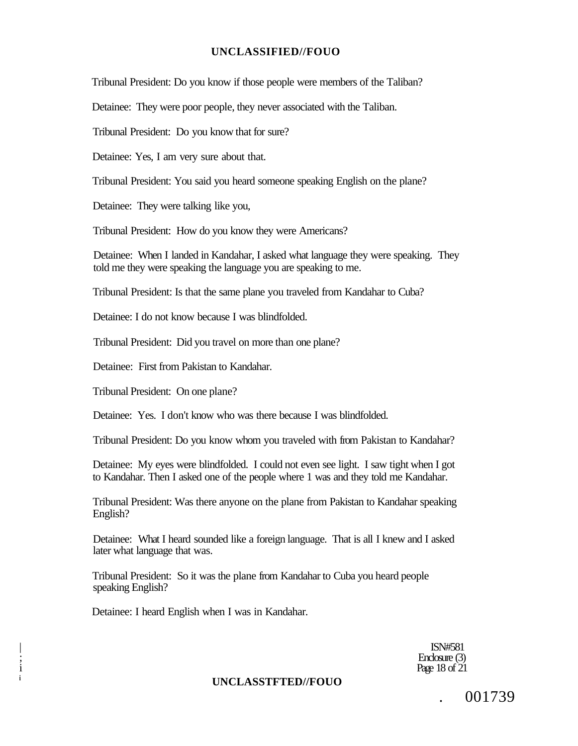Tribunal President: Do you know if those people were members of the Taliban?

Detainee: They were poor people, they never associated with the Taliban.

Tribunal President: Do you know that for sure?

Detainee: Yes, I am very sure about that.

Tribunal President: You said you heard someone speaking English on the plane?

Detainee: They were talking like you,

Tribunal President: How do you know they were Americans?

Detainee: When I landed in Kandahar, I asked what language they were speaking. They told me they were speaking the language you are speaking to me.

Tribunal President: Is that the same plane you traveled from Kandahar to Cuba?

Detainee: I do not know because I was blindfolded.

Tribunal President: Did you travel on more than one plane?

Detainee: First from Pakistan to Kandahar.

Tribunal President: On one plane?

Detainee: Yes. I don't know who was there because I was blindfolded.

Tribunal President: Do you know whom you traveled with from Pakistan to Kandahar?

Detainee: My eyes were blindfolded. I could not even see light. I saw tight when I got to Kandahar. Then I asked one of the people where 1 was and they told me Kandahar.

Tribunal President: Was there anyone on the plane from Pakistan to Kandahar speaking English?

Detainee: What I heard sounded like a foreign language. That is all I knew and I asked later what language that was.

Tribunal President: So it was the plane from Kandahar to Cuba you heard people speaking English?

Detainee: I heard English when I was in Kandahar.

| ISN#581 Enclosure (3)<br>Page 18 of 21  $i$  Page 18 of 21

**<sup>i</sup>UNCLASSTFTED//FOUO** 

. 001739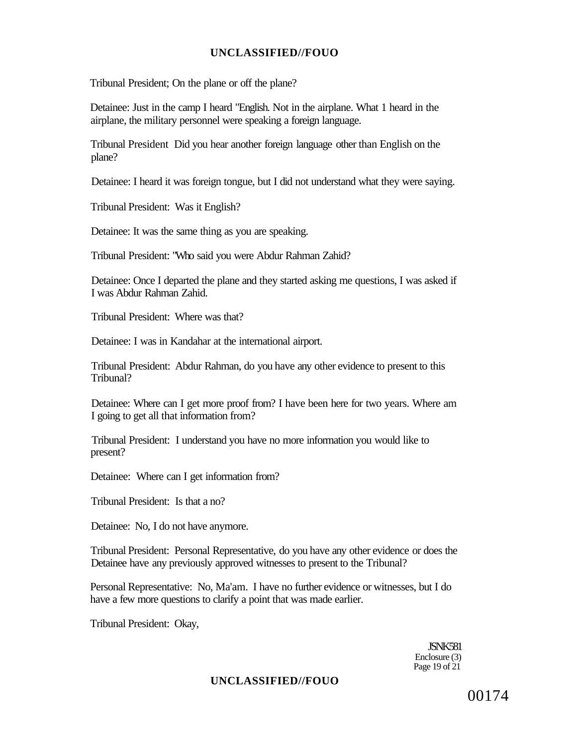Tribunal President; On the plane or off the plane?

Detainee: Just in the camp I heard "English. Not in the airplane. What 1 heard in the airplane, the military personnel were speaking a foreign language.

Tribunal President Did you hear another foreign language other than English on the plane?

Detainee: I heard it was foreign tongue, but I did not understand what they were saying.

Tribunal President: Was it English?

Detainee: It was the same thing as you are speaking.

Tribunal President: "Who said you were Abdur Rahman Zahid?

Detainee: Once I departed the plane and they started asking me questions, I was asked if I was Abdur Rahman Zahid.

Tribunal President: Where was that?

Detainee: I was in Kandahar at the international airport.

Tribunal President: Abdur Rahman, do you have any other evidence to present to this Tribunal?

Detainee: Where can I get more proof from? I have been here for two years. Where am I going to get all that information from?

Tribunal President: I understand you have no more information you would like to present?

Detainee: Where can I get information from?

Tribunal President: Is that a no?

Detainee: No, I do not have anymore.

Tribunal President: Personal Representative, do you have any other evidence or does the Detainee have any previously approved witnesses to present to the Tribunal?

Personal Representative: No, Ma'am. I have no further evidence or witnesses, but I do have a few more questions to clarify a point that was made earlier.

Tribunal President: Okay,

JSNK581 Enclosure (3) Page 19 of 21

### **UNCLASSIFIED//FOUO**